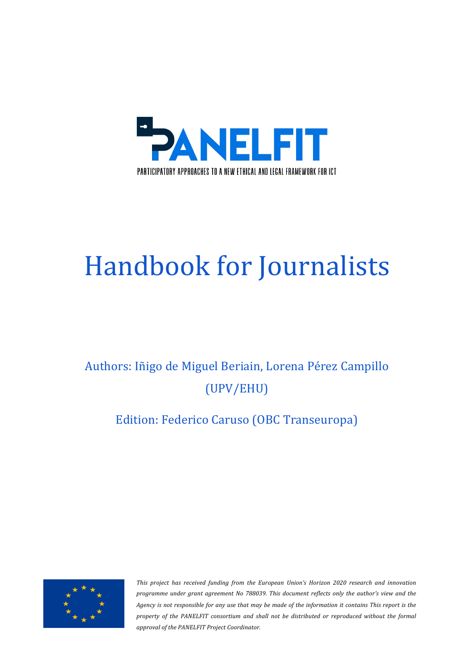

# Handbook for Journalists

# Authors: Iñigo de Miguel Beriain, Lorena Pérez Campillo (UPV/EHU)

# Edition: Federico Caruso (OBC Transeuropa)



This project has received funding from the European Union's Horizon 2020 research and innovation *programme under grant agreement No 788039. This document reflects only the author's view and the Agency is not responsible for any use that may be made of the information it contains This report is the property* of the PANELFIT consortium and shall not be distributed or reproduced without the formal *approval of the PANELFIT Project Coordinator.*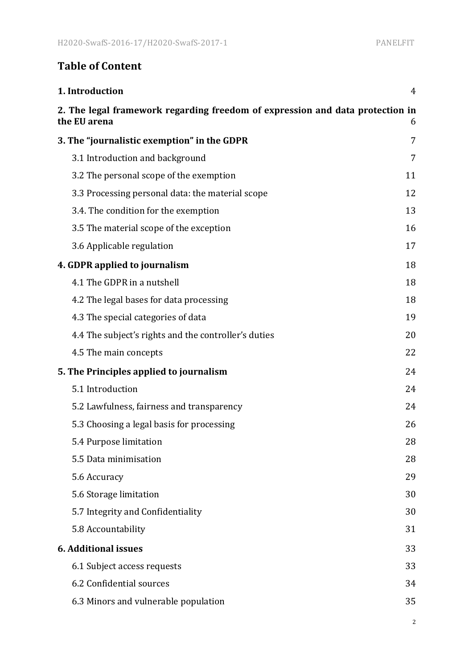# **Table of Content**

| 1. Introduction                                                                               | 4  |
|-----------------------------------------------------------------------------------------------|----|
| 2. The legal framework regarding freedom of expression and data protection in<br>the EU arena | 6  |
| 3. The "journalistic exemption" in the GDPR                                                   | 7  |
| 3.1 Introduction and background                                                               | 7  |
| 3.2 The personal scope of the exemption                                                       | 11 |
| 3.3 Processing personal data: the material scope                                              | 12 |
| 3.4. The condition for the exemption                                                          | 13 |
| 3.5 The material scope of the exception                                                       | 16 |
| 3.6 Applicable regulation                                                                     | 17 |
| 4. GDPR applied to journalism                                                                 | 18 |
| 4.1 The GDPR in a nutshell                                                                    | 18 |
| 4.2 The legal bases for data processing                                                       | 18 |
| 4.3 The special categories of data                                                            | 19 |
| 4.4 The subject's rights and the controller's duties                                          | 20 |
| 4.5 The main concepts                                                                         | 22 |
| 5. The Principles applied to journalism                                                       | 24 |
| 5.1 Introduction                                                                              | 24 |
| 5.2 Lawfulness, fairness and transparency                                                     | 24 |
| 5.3 Choosing a legal basis for processing                                                     | 26 |
| 5.4 Purpose limitation                                                                        | 28 |
| 5.5 Data minimisation                                                                         | 28 |
| 5.6 Accuracy                                                                                  | 29 |
| 5.6 Storage limitation                                                                        | 30 |
| 5.7 Integrity and Confidentiality                                                             | 30 |
| 5.8 Accountability                                                                            | 31 |
| <b>6. Additional issues</b>                                                                   | 33 |
| 6.1 Subject access requests                                                                   | 33 |
| 6.2 Confidential sources                                                                      | 34 |
| 6.3 Minors and vulnerable population                                                          | 35 |

2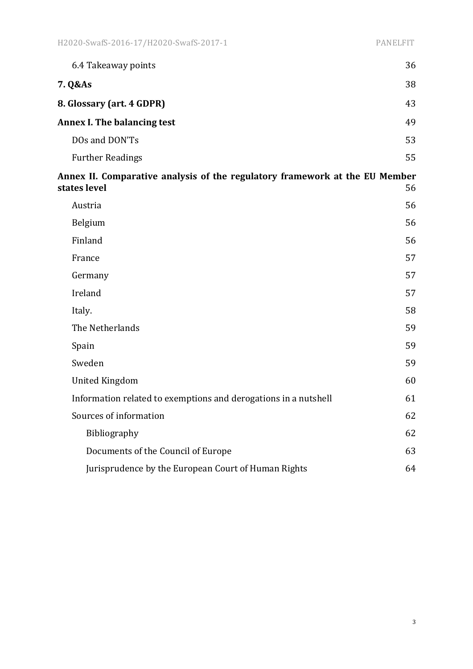| 6.4 Takeaway points                                                                         | 36 |
|---------------------------------------------------------------------------------------------|----|
| 7. Q&As                                                                                     | 38 |
| 8. Glossary (art. 4 GDPR)                                                                   | 43 |
| <b>Annex I. The balancing test</b>                                                          | 49 |
| DOs and DON'Ts                                                                              | 53 |
| <b>Further Readings</b>                                                                     | 55 |
| Annex II. Comparative analysis of the regulatory framework at the EU Member<br>states level | 56 |
| Austria                                                                                     | 56 |
| Belgium                                                                                     | 56 |
| Finland                                                                                     | 56 |
| France                                                                                      | 57 |
| Germany                                                                                     | 57 |
| Ireland                                                                                     | 57 |
| Italy.                                                                                      | 58 |
| The Netherlands                                                                             | 59 |
| Spain                                                                                       | 59 |
| Sweden                                                                                      | 59 |
| <b>United Kingdom</b>                                                                       | 60 |
| Information related to exemptions and derogations in a nutshell                             | 61 |
| Sources of information                                                                      | 62 |
| Bibliography                                                                                | 62 |
| Documents of the Council of Europe                                                          | 63 |
| Jurisprudence by the European Court of Human Rights                                         | 64 |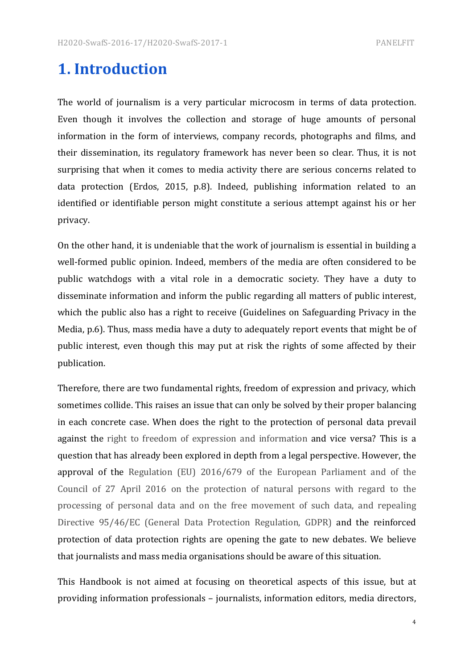# **1. Introduction**

The world of journalism is a very particular microcosm in terms of data protection. Even though it involves the collection and storage of huge amounts of personal information in the form of interviews, company records, photographs and films, and their dissemination, its regulatory framework has never been so clear. Thus, it is not surprising that when it comes to media activity there are serious concerns related to data protection (Erdos, 2015, p.8). Indeed, publishing information related to an identified or identifiable person might constitute a serious attempt against his or her privacy.

On the other hand, it is undeniable that the work of journalism is essential in building a well-formed public opinion. Indeed, members of the media are often considered to be public watchdogs with a vital role in a democratic society. They have a duty to disseminate information and inform the public regarding all matters of public interest, which the public also has a right to receive (Guidelines on Safeguarding Privacy in the Media, p.6). Thus, mass media have a duty to adequately report events that might be of public interest, even though this may put at risk the rights of some affected by their publication.

Therefore, there are two fundamental rights, freedom of expression and privacy, which sometimes collide. This raises an issue that can only be solved by their proper balancing in each concrete case. When does the right to the protection of personal data prevail against the right to freedom of expression and information and vice versa? This is a question that has already been explored in depth from a legal perspective. However, the approval of the Regulation  $(EU)$  2016/679 of the European Parliament and of the Council of 27 April 2016 on the protection of natural persons with regard to the processing of personal data and on the free movement of such data, and repealing Directive 95/46/EC (General Data Protection Regulation, GDPR) and the reinforced protection of data protection rights are opening the gate to new debates. We believe that journalists and mass media organisations should be aware of this situation.

This Handbook is not aimed at focusing on theoretical aspects of this issue, but at providing information professionals – journalists, information editors, media directors,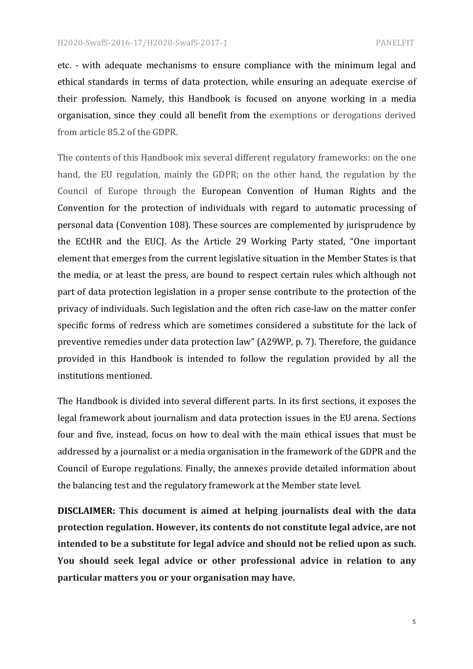etc. - with adequate mechanisms to ensure compliance with the minimum legal and ethical standards in terms of data protection, while ensuring an adequate exercise of their profession. Namely, this Handbook is focused on anyone working in a media organisation, since they could all benefit from the exemptions or derogations derived from article 85.2 of the GDPR.

The contents of this Handbook mix several different regulatory frameworks: on the one hand, the EU regulation, mainly the GDPR; on the other hand, the regulation by the Council of Europe through the European Convention of Human Rights and the Convention for the protection of individuals with regard to automatic processing of personal data (Convention 108). These sources are complemented by jurisprudence by the ECtHR and the EUCJ. As the Article 29 Working Party stated, "One important element that emerges from the current legislative situation in the Member States is that the media, or at least the press, are bound to respect certain rules which although not part of data protection legislation in a proper sense contribute to the protection of the privacy of individuals. Such legislation and the often rich case-law on the matter confer specific forms of redress which are sometimes considered a substitute for the lack of preventive remedies under data protection law" (A29WP, p. 7). Therefore, the guidance provided in this Handbook is intended to follow the regulation provided by all the institutions mentioned.

The Handbook is divided into several different parts. In its first sections, it exposes the legal framework about journalism and data protection issues in the EU arena. Sections four and five, instead, focus on how to deal with the main ethical issues that must be addressed by a journalist or a media organisation in the framework of the GDPR and the Council of Europe regulations. Finally, the annexes provide detailed information about the balancing test and the regulatory framework at the Member state level.

**DISCLAIMER:** This document is aimed at helping journalists deal with the data **protection regulation. However, its contents do not constitute legal advice, are not intended to be a substitute for legal advice and should not be relied upon as such.** You should seek legal advice or other professional advice in relation to any particular matters you or your organisation may have.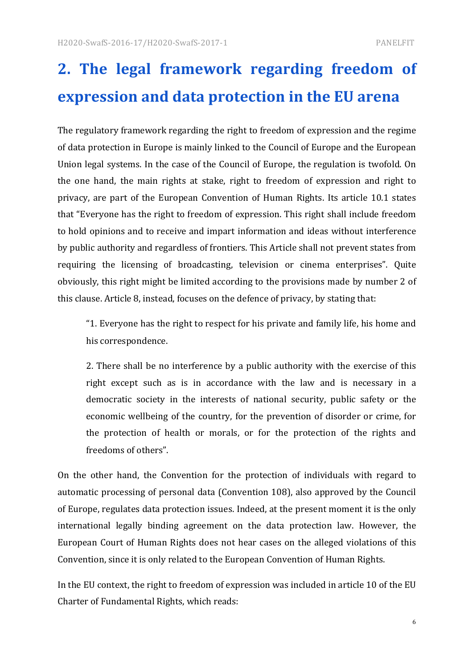# 2. The legal framework regarding freedom of **expression and data protection in the EU arena**

The regulatory framework regarding the right to freedom of expression and the regime of data protection in Europe is mainly linked to the Council of Europe and the European Union legal systems. In the case of the Council of Europe, the regulation is twofold. On the one hand, the main rights at stake, right to freedom of expression and right to privacy, are part of the European Convention of Human Rights. Its article 10.1 states that "Everyone has the right to freedom of expression. This right shall include freedom to hold opinions and to receive and impart information and ideas without interference by public authority and regardless of frontiers. This Article shall not prevent states from requiring the licensing of broadcasting, television or cinema enterprises". Quite obviously, this right might be limited according to the provisions made by number 2 of this clause. Article 8, instead, focuses on the defence of privacy, by stating that:

"1. Everyone has the right to respect for his private and family life, his home and his correspondence.

2. There shall be no interference by a public authority with the exercise of this right except such as is in accordance with the law and is necessary in a democratic society in the interests of national security, public safety or the economic wellbeing of the country, for the prevention of disorder or crime, for the protection of health or morals, or for the protection of the rights and freedoms of others".

On the other hand, the Convention for the protection of individuals with regard to automatic processing of personal data (Convention 108), also approved by the Council of Europe, regulates data protection issues. Indeed, at the present moment it is the only international legally binding agreement on the data protection law. However, the European Court of Human Rights does not hear cases on the alleged violations of this Convention, since it is only related to the European Convention of Human Rights.

In the EU context, the right to freedom of expression was included in article 10 of the EU Charter of Fundamental Rights, which reads: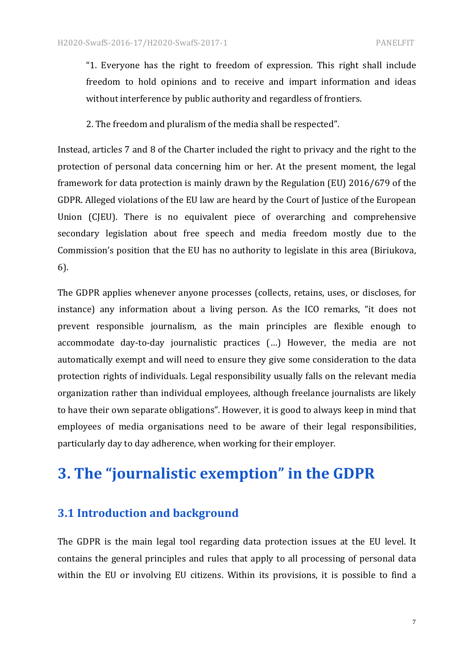"1. Everyone has the right to freedom of expression. This right shall include freedom to hold opinions and to receive and impart information and ideas without interference by public authority and regardless of frontiers.

2. The freedom and pluralism of the media shall be respected".

Instead, articles 7 and 8 of the Charter included the right to privacy and the right to the protection of personal data concerning him or her. At the present moment, the legal framework for data protection is mainly drawn by the Regulation (EU) 2016/679 of the GDPR. Alleged violations of the EU law are heard by the Court of Justice of the European Union (CJEU). There is no equivalent piece of overarching and comprehensive secondary legislation about free speech and media freedom mostly due to the Commission's position that the EU has no authority to legislate in this area (Biriukova, 6).

The GDPR applies whenever anyone processes (collects, retains, uses, or discloses, for instance) any information about a living person. As the ICO remarks, "it does not prevent responsible journalism, as the main principles are flexible enough to accommodate day-to-day journalistic practices (...) However, the media are not automatically exempt and will need to ensure they give some consideration to the data protection rights of individuals. Legal responsibility usually falls on the relevant media organization rather than individual employees, although freelance journalists are likely to have their own separate obligations". However, it is good to always keep in mind that employees of media organisations need to be aware of their legal responsibilities, particularly day to day adherence, when working for their employer.

# **3. The "journalistic exemption" in the GDPR**

## **3.1 Introduction and background**

The GDPR is the main legal tool regarding data protection issues at the EU level. It contains the general principles and rules that apply to all processing of personal data within the EU or involving EU citizens. Within its provisions, it is possible to find a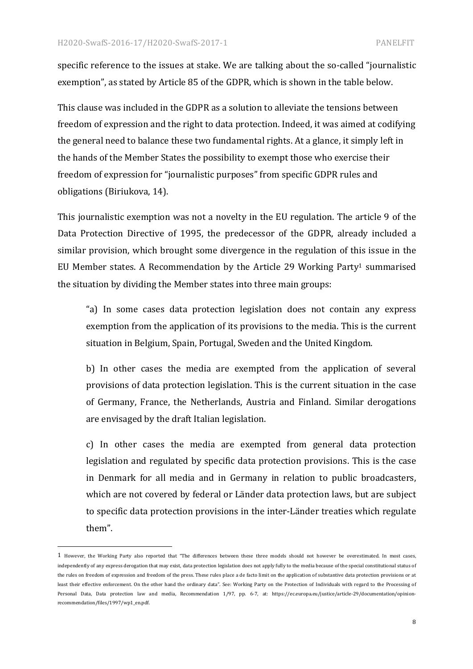specific reference to the issues at stake. We are talking about the so-called "journalistic exemption", as stated by Article 85 of the GDPR, which is shown in the table below.

This clause was included in the GDPR as a solution to alleviate the tensions between freedom of expression and the right to data protection. Indeed, it was aimed at codifying the general need to balance these two fundamental rights. At a glance, it simply left in the hands of the Member States the possibility to exempt those who exercise their freedom of expression for "journalistic purposes" from specific GDPR rules and obligations (Biriukova, 14).

This journalistic exemption was not a novelty in the EU regulation. The article 9 of the Data Protection Directive of 1995, the predecessor of the GDPR, already included a similar provision, which brought some divergence in the regulation of this issue in the EU Member states. A Recommendation by the Article 29 Working Party<sup>1</sup> summarised the situation by dividing the Member states into three main groups:

"a) In some cases data protection legislation does not contain any express exemption from the application of its provisions to the media. This is the current situation in Belgium, Spain, Portugal, Sweden and the United Kingdom.

b) In other cases the media are exempted from the application of several provisions of data protection legislation. This is the current situation in the case of Germany, France, the Netherlands, Austria and Finland. Similar derogations are envisaged by the draft Italian legislation.

c) In other cases the media are exempted from general data protection legislation and regulated by specific data protection provisions. This is the case in Denmark for all media and in Germany in relation to public broadcasters, which are not covered by federal or Länder data protection laws, but are subject to specific data protection provisions in the inter-Länder treaties which regulate them".

<sup>1</sup> However, the Working Party also reported that "The differences between these three models should not however be overestimated. In most cases, independently of any express derogation that may exist, data protection legislation does not apply fully to the media because of the special constitutional status of the rules on freedom of expression and freedom of the press. These rules place a de facto limit on the application of substantive data protection provisions or at least their effective enforcement. On the other hand the ordinary data". See: Working Party on the Protection of Individuals with regard to the Processing of Personal Data, Data protection law and media, Recommendation 1/97, pp. 6-7, at: https://ec.europa.eu/justice/article-29/documentation/opinionrecommendation/files/1997/wp1\_en.pdf.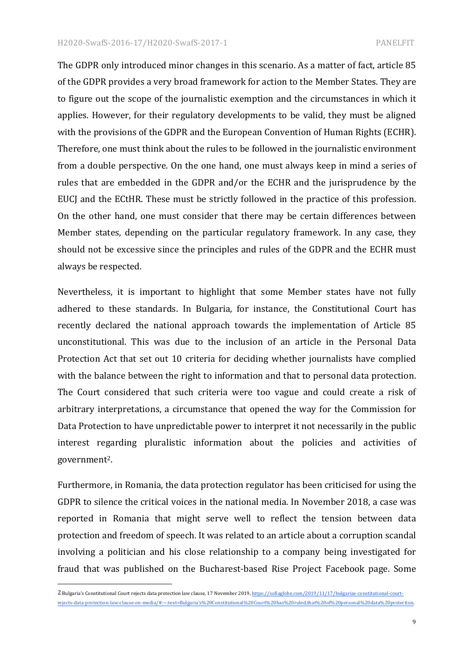The GDPR only introduced minor changes in this scenario. As a matter of fact, article 85 of the GDPR provides a very broad framework for action to the Member States. They are to figure out the scope of the journalistic exemption and the circumstances in which it applies. However, for their regulatory developments to be valid, they must be aligned with the provisions of the GDPR and the European Convention of Human Rights (ECHR). Therefore, one must think about the rules to be followed in the journalistic environment from a double perspective. On the one hand, one must always keep in mind a series of rules that are embedded in the GDPR and/or the ECHR and the jurisprudence by the EUCJ and the ECtHR. These must be strictly followed in the practice of this profession. On the other hand, one must consider that there may be certain differences between Member states, depending on the particular regulatory framework. In any case, they should not be excessive since the principles and rules of the GDPR and the ECHR must always be respected.

Nevertheless, it is important to highlight that some Member states have not fully adhered to these standards. In Bulgaria, for instance, the Constitutional Court has recently declared the national approach towards the implementation of Article 85 unconstitutional. This was due to the inclusion of an article in the Personal Data Protection Act that set out 10 criteria for deciding whether journalists have complied with the balance between the right to information and that to personal data protection. The Court considered that such criteria were too vague and could create a risk of arbitrary interpretations, a circumstance that opened the way for the Commission for Data Protection to have unpredictable power to interpret it not necessarily in the public interest regarding pluralistic information about the policies and activities of government2.

Furthermore, in Romania, the data protection regulator has been criticised for using the GDPR to silence the critical voices in the national media. In November 2018, a case was reported in Romania that might serve well to reflect the tension between data protection and freedom of speech. It was related to an article about a corruption scandal involving a politician and his close relationship to a company being investigated for fraud that was published on the Bucharest-based Rise Project Facebook page. Some

 

<sup>2</sup> Bulgaria's Constitutional Court rejects data protection law clause, 17 November 2019, https://sofiaglobe.com/2019/11/17/bulgarias-constitutional-courtrejects-data-protection-law-clause-on-media/#:~:text=Bulgaria's%20Constitutional%20Court%20has%20ruled,that%20of%20personal%20data%20protection.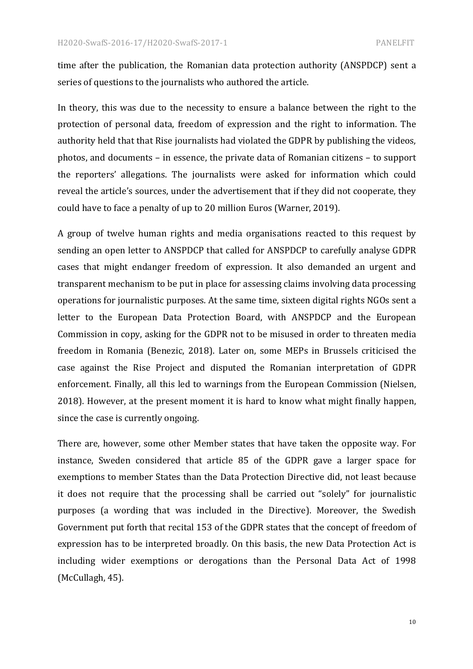time after the publication, the Romanian data protection authority (ANSPDCP) sent a series of questions to the journalists who authored the article.

In theory, this was due to the necessity to ensure a balance between the right to the protection of personal data, freedom of expression and the right to information. The authority held that that Rise journalists had violated the GDPR by publishing the videos, photos, and documents – in essence, the private data of Romanian citizens – to support the reporters' allegations. The journalists were asked for information which could reveal the article's sources, under the advertisement that if they did not cooperate, they could have to face a penalty of up to 20 million Euros (Warner, 2019).

A group of twelve human rights and media organisations reacted to this request by sending an open letter to ANSPDCP that called for ANSPDCP to carefully analyse GDPR cases that might endanger freedom of expression. It also demanded an urgent and transparent mechanism to be put in place for assessing claims involving data processing operations for journalistic purposes. At the same time, sixteen digital rights NGOs sent a letter to the European Data Protection Board, with ANSPDCP and the European Commission in copy, asking for the GDPR not to be misused in order to threaten media freedom in Romania (Benezic, 2018). Later on, some MEPs in Brussels criticised the case against the Rise Project and disputed the Romanian interpretation of GDPR enforcement. Finally, all this led to warnings from the European Commission (Nielsen, 2018). However, at the present moment it is hard to know what might finally happen, since the case is currently ongoing.

There are, however, some other Member states that have taken the opposite way. For instance, Sweden considered that article 85 of the GDPR gave a larger space for exemptions to member States than the Data Protection Directive did, not least because it does not require that the processing shall be carried out "solely" for journalistic purposes (a wording that was included in the Directive). Moreover, the Swedish Government put forth that recital 153 of the GDPR states that the concept of freedom of expression has to be interpreted broadly. On this basis, the new Data Protection Act is including wider exemptions or derogations than the Personal Data Act of 1998 (McCullagh, 45).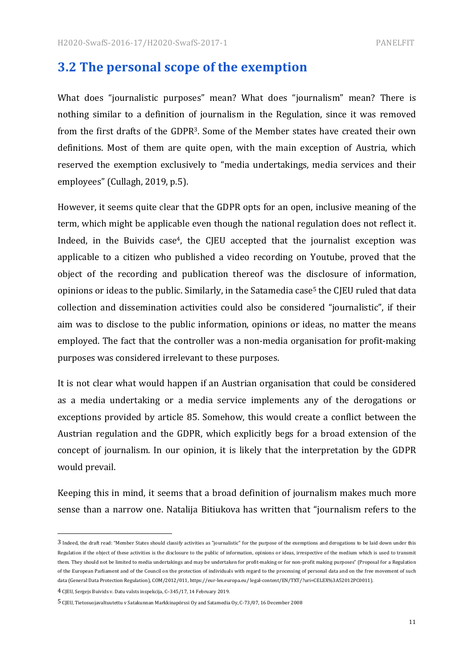# **3.2** The personal scope of the exemption

What does "journalistic purposes" mean? What does "journalism" mean? There is nothing similar to a definition of journalism in the Regulation, since it was removed from the first drafts of the GDPR<sup>3</sup>. Some of the Member states have created their own definitions. Most of them are quite open, with the main exception of Austria, which reserved the exemption exclusively to "media undertakings, media services and their employees" (Cullagh, 2019, p.5).

However, it seems quite clear that the GDPR opts for an open, inclusive meaning of the term, which might be applicable even though the national regulation does not reflect it. Indeed, in the Buivids case<sup>4</sup>, the CIEU accepted that the journalist exception was applicable to a citizen who published a video recording on Youtube, proved that the object of the recording and publication thereof was the disclosure of information, opinions or ideas to the public. Similarly, in the Satamedia case<sup>5</sup> the CJEU ruled that data collection and dissemination activities could also be considered "journalistic", if their aim was to disclose to the public information, opinions or ideas, no matter the means employed. The fact that the controller was a non-media organisation for profit-making purposes was considered irrelevant to these purposes.

It is not clear what would happen if an Austrian organisation that could be considered as a media undertaking or a media service implements any of the derogations or exceptions provided by article 85. Somehow, this would create a conflict between the Austrian regulation and the GDPR, which explicitly begs for a broad extension of the concept of journalism. In our opinion, it is likely that the interpretation by the GDPR would prevail.

Keeping this in mind, it seems that a broad definition of journalism makes much more sense than a narrow one. Natalija Bitiukova has written that "journalism refers to the

 

<sup>3</sup> Indeed, the draft read: "Member States should classify activities as "journalistic" for the purpose of the exemptions and derogations to be laid down under this Regulation if the object of these activities is the disclosure to the public of information, opinions or ideas, irrespective of the medium which is used to transmit them. They should not be limited to media undertakings and may be undertaken for profit-making or for non-profit making purposes" (Proposal for a Regulation of the European Parliament and of the Council on the protection of individuals with regard to the processing of personal data and on the free movement of such data (General Data Protection Regulation), COM/2012/011, https://eur-lex.europa.eu/ legal-content/EN/TXT/?uri=CELEX%3A52012PC0011).

<sup>4</sup> CJEU, Sergejs Buivids v. Datu valsts inspekcija, C-345/17, 14 February 2019.

<sup>5</sup> CJEU, Tietosuojavaltuutettu v Satakunnan Markkinapörssi Oy and Satamedia Oy, C-73/07, 16 December 2008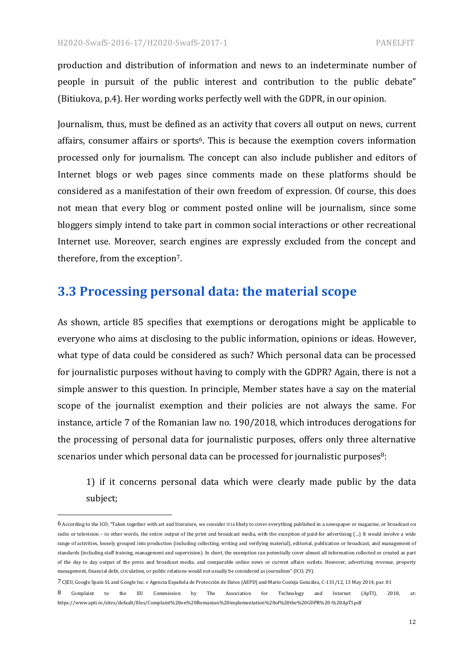production and distribution of information and news to an indeterminate number of people in pursuit of the public interest and contribution to the public debate" (Bitiukova, p.4). Her wording works perfectly well with the GDPR, in our opinion.

Journalism, thus, must be defined as an activity that covers all output on news, current affairs, consumer affairs or sports<sup>6</sup>. This is because the exemption covers information processed only for journalism. The concept can also include publisher and editors of Internet blogs or web pages since comments made on these platforms should be considered as a manifestation of their own freedom of expression. Of course, this does not mean that every blog or comment posted online will be journalism, since some bloggers simply intend to take part in common social interactions or other recreational Internet use. Moreover, search engines are expressly excluded from the concept and therefore, from the exception<sup>7</sup>.

# **3.3 Processing personal data: the material scope**

As shown, article 85 specifies that exemptions or derogations might be applicable to everyone who aims at disclosing to the public information, opinions or ideas. However, what type of data could be considered as such? Which personal data can be processed for journalistic purposes without having to comply with the GDPR? Again, there is not a simple answer to this question. In principle, Member states have a say on the material scope of the journalist exemption and their policies are not always the same. For instance, article 7 of the Romanian law no. 190/2018, which introduces derogations for the processing of personal data for journalistic purposes, offers only three alternative scenarios under which personal data can be processed for journalistic purposes $8$ :

1) if it concerns personal data which were clearly made public by the data subject;

<sup>6</sup> According to the ICO, "Taken together with art and literature, we consider it is likely to cover everything published in a newspaper or magazine, or broadcast on radio or television - in other words, the entire output of the print and broadcast media, with the exception of paid-for advertising (...) It would involve a wide range of activities, loosely grouped into production (including collecting, writing and verifying material), editorial, publication or broadcast, and management of standards (including staff training, management and supervision). In short, the exemption can potentially cover almost all information collected or created as part of the day to day output of the press and broadcast media, and comparable online news or current affairs outlets. However, advertising revenue, property management, financial debt, circulation, or public relations would not usually be considered as journalism" (ICO, 29).

<sup>7</sup> CJEU, Google Spain SL and Google Inc. v Agencia Española de Protección de Datos (AEPD) and Mario Costeja González, C-131/12, 13 May 2014, par. 81

<sup>8</sup> Complaint to the EU Commission by The Association for Technology and Internet (ApTI), 2018, at: https://www.apti.ro/sites/default/files/Complaint%20on%20Romanian%20implementation%20of%20the%20GDPR%20-%20ApTI.pdf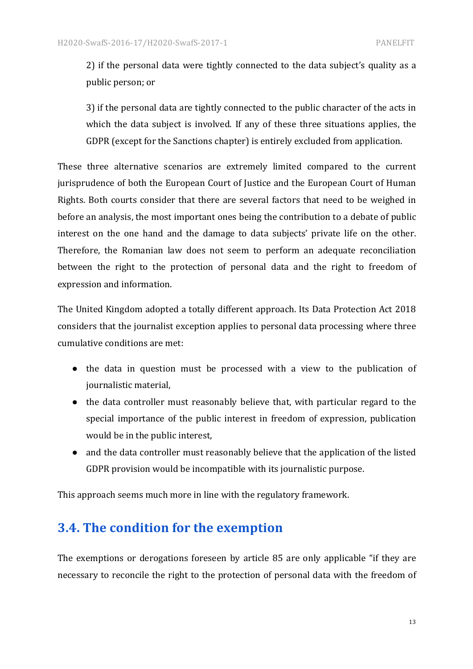2) if the personal data were tightly connected to the data subject's quality as a public person; or

3) if the personal data are tightly connected to the public character of the acts in which the data subject is involved. If any of these three situations applies, the GDPR (except for the Sanctions chapter) is entirely excluded from application.

These three alternative scenarios are extremely limited compared to the current jurisprudence of both the European Court of Justice and the European Court of Human Rights. Both courts consider that there are several factors that need to be weighed in before an analysis, the most important ones being the contribution to a debate of public interest on the one hand and the damage to data subjects' private life on the other. Therefore, the Romanian law does not seem to perform an adequate reconciliation between the right to the protection of personal data and the right to freedom of expression and information.

The United Kingdom adopted a totally different approach. Its Data Protection Act 2018 considers that the journalist exception applies to personal data processing where three cumulative conditions are met:

- the data in question must be processed with a view to the publication of journalistic material,
- the data controller must reasonably believe that, with particular regard to the special importance of the public interest in freedom of expression, publication would be in the public interest,
- and the data controller must reasonably believe that the application of the listed GDPR provision would be incompatible with its journalistic purpose.

This approach seems much more in line with the regulatory framework.

# **3.4.** The condition for the exemption

The exemptions or derogations foreseen by article 85 are only applicable "if they are necessary to reconcile the right to the protection of personal data with the freedom of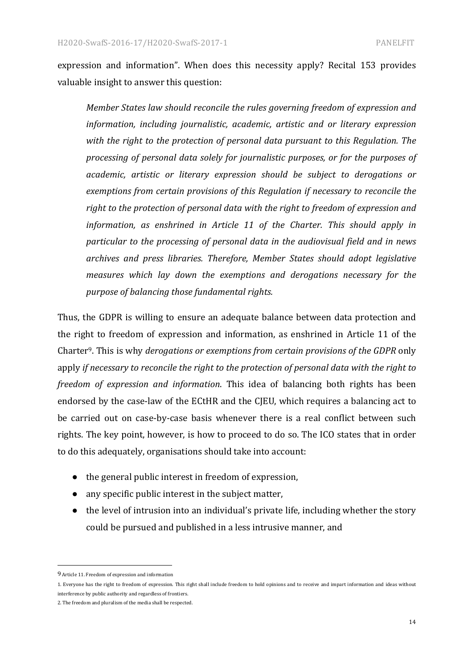expression and information". When does this necessity apply? Recital 153 provides valuable insight to answer this question:

*Member States law should reconcile the rules governing freedom of expression and information, including journalistic, academic, artistic and or literary expression* with the right to the protection of personal data pursuant to this Regulation. The *processing of personal data solely for journalistic purposes, or for the purposes of academic, artistic or literary expression should be subject to derogations or* exemptions from certain provisions of this Regulation if necessary to reconcile the right to the protection of personal data with the right to freedom of expression and *information, as enshrined in Article 11 of the Charter. This should apply in particular to the processing of personal data in the audiovisual field and in news* archives and press libraries. Therefore, Member States should adopt legislative *measures* which lay down the exemptions and derogations necessary for the *purpose of balancing those fundamental rights.*

Thus, the GDPR is willing to ensure an adequate balance between data protection and the right to freedom of expression and information, as enshrined in Article 11 of the Charter<sup>9</sup>. This is why *derogations or exemptions from certain provisions of the GDPR* only apply *if necessary to reconcile the right to the protection of personal data with the right to freedom of expression and information*. This idea of balancing both rights has been endorsed by the case-law of the ECtHR and the CJEU, which requires a balancing act to be carried out on case-by-case basis whenever there is a real conflict between such rights. The key point, however, is how to proceed to do so. The ICO states that in order to do this adequately, organisations should take into account:

- $\bullet$  the general public interest in freedom of expression,
- any specific public interest in the subject matter,
- $\bullet$  the level of intrusion into an individual's private life, including whether the story could be pursued and published in a less intrusive manner, and

 9 Article 11. Freedom of expression and information

<sup>1.</sup> Everyone has the right to freedom of expression. This right shall include freedom to hold opinions and to receive and impart information and ideas without interference by public authority and regardless of frontiers.

<sup>2.</sup> The freedom and pluralism of the media shall be respected.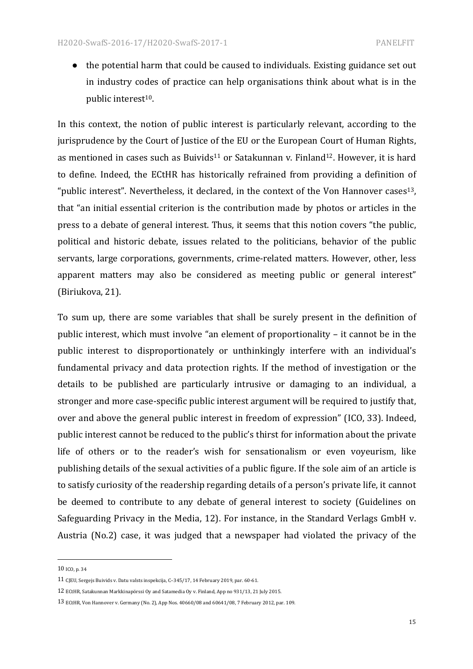$\bullet$  the potential harm that could be caused to individuals. Existing guidance set out in industry codes of practice can help organisations think about what is in the public interest<sup>10</sup>.

In this context, the notion of public interest is particularly relevant, according to the jurisprudence by the Court of Justice of the EU or the European Court of Human Rights, as mentioned in cases such as Buivids<sup>11</sup> or Satakunnan v. Finland<sup>12</sup>. However, it is hard to define. Indeed, the ECtHR has historically refrained from providing a definition of "public interest". Nevertheless, it declared, in the context of the Von Hannover cases<sup>13</sup>, that "an initial essential criterion is the contribution made by photos or articles in the press to a debate of general interest. Thus, it seems that this notion covers "the public, political and historic debate, issues related to the politicians, behavior of the public servants, large corporations, governments, crime-related matters. However, other, less apparent matters may also be considered as meeting public or general interest" (Biriukova, 21).

To sum up, there are some variables that shall be surely present in the definition of public interest, which must involve "an element of proportionality – it cannot be in the public interest to disproportionately or unthinkingly interfere with an individual's fundamental privacy and data protection rights. If the method of investigation or the details to be published are particularly intrusive or damaging to an individual, a stronger and more case-specific public interest argument will be required to justify that, over and above the general public interest in freedom of expression" (ICO, 33). Indeed, public interest cannot be reduced to the public's thirst for information about the private life of others or to the reader's wish for sensationalism or even voyeurism, like publishing details of the sexual activities of a public figure. If the sole aim of an article is to satisfy curiosity of the readership regarding details of a person's private life, it cannot be deemed to contribute to any debate of general interest to society (Guidelines on Safeguarding Privacy in the Media, 12). For instance, in the Standard Verlags GmbH v. Austria (No.2) case, it was judged that a newspaper had violated the privacy of the

 

<sup>10</sup> ICO, p. 34

<sup>11</sup> CJEU, Sergejs Buivids v. Datu valsts inspekcija, C-345/17, 14 February 2019, par. 60-61.

<sup>12</sup> ECtHR, Satakunnan Markkinapörssi Oy and Satamedia Oy v. Finland, App no 931/13, 21 July 2015.

<sup>13</sup> ECtHR, Von Hannover v. Germany (No. 2), App Nos. 40660/08 and 60641/08, 7 February 2012, par. 109.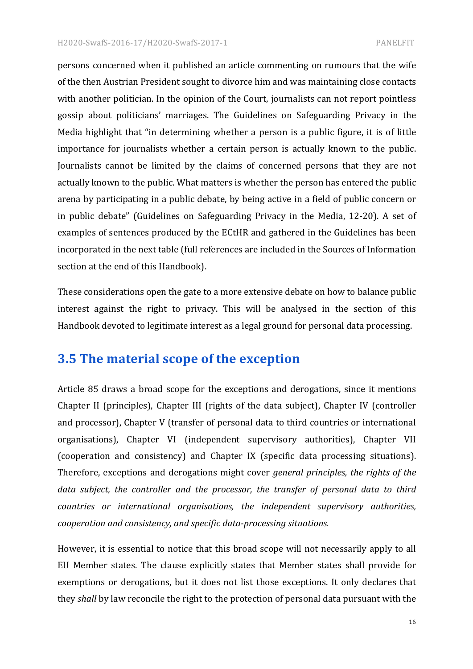persons concerned when it published an article commenting on rumours that the wife of the then Austrian President sought to divorce him and was maintaining close contacts with another politician. In the opinion of the Court, journalists can not report pointless gossip about politicians' marriages. The Guidelines on Safeguarding Privacy in the Media highlight that "in determining whether a person is a public figure, it is of little importance for journalists whether a certain person is actually known to the public. Journalists cannot be limited by the claims of concerned persons that they are not actually known to the public. What matters is whether the person has entered the public arena by participating in a public debate, by being active in a field of public concern or in public debate" (Guidelines on Safeguarding Privacy in the Media, 12-20). A set of examples of sentences produced by the ECtHR and gathered in the Guidelines has been incorporated in the next table (full references are included in the Sources of Information section at the end of this Handbook).

These considerations open the gate to a more extensive debate on how to balance public interest against the right to privacy. This will be analysed in the section of this Handbook devoted to legitimate interest as a legal ground for personal data processing.

# **3.5 The material scope of the exception**

Article 85 draws a broad scope for the exceptions and derogations, since it mentions Chapter II (principles), Chapter III (rights of the data subject), Chapter IV (controller and processor), Chapter V (transfer of personal data to third countries or international organisations), Chapter VI (independent supervisory authorities), Chapter VII (cooperation and consistency) and Chapter IX (specific data processing situations). Therefore, exceptions and derogations might cover *general principles, the rights of the* data subject, the controller and the processor, the transfer of personal data to third *countries* or international organisations, the independent supervisory authorities, *cooperation and consistency, and specific data-processing situations.* 

However, it is essential to notice that this broad scope will not necessarily apply to all EU Member states. The clause explicitly states that Member states shall provide for exemptions or derogations, but it does not list those exceptions. It only declares that they *shall* by law reconcile the right to the protection of personal data pursuant with the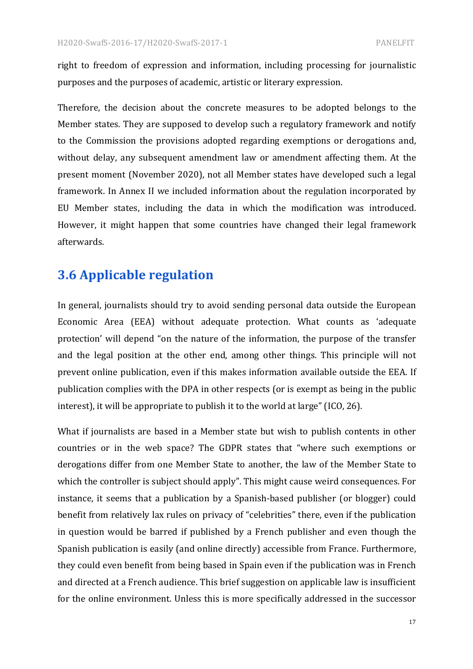right to freedom of expression and information, including processing for journalistic purposes and the purposes of academic, artistic or literary expression.

Therefore, the decision about the concrete measures to be adopted belongs to the Member states. They are supposed to develop such a regulatory framework and notify to the Commission the provisions adopted regarding exemptions or derogations and, without delay, any subsequent amendment law or amendment affecting them. At the present moment (November 2020), not all Member states have developed such a legal framework. In Annex II we included information about the regulation incorporated by EU Member states, including the data in which the modification was introduced. However, it might happen that some countries have changed their legal framework afterwards.

# **3.6 Applicable regulation**

In general, journalists should try to avoid sending personal data outside the European Economic Area (EEA) without adequate protection. What counts as 'adequate protection' will depend "on the nature of the information, the purpose of the transfer and the legal position at the other end, among other things. This principle will not prevent online publication, even if this makes information available outside the EEA. If publication complies with the DPA in other respects (or is exempt as being in the public interest), it will be appropriate to publish it to the world at large" (ICO, 26).

What if journalists are based in a Member state but wish to publish contents in other countries or in the web space? The GDPR states that "where such exemptions or derogations differ from one Member State to another, the law of the Member State to which the controller is subject should apply". This might cause weird consequences. For instance, it seems that a publication by a Spanish-based publisher (or blogger) could benefit from relatively lax rules on privacy of "celebrities" there, even if the publication in question would be barred if published by a French publisher and even though the Spanish publication is easily (and online directly) accessible from France. Furthermore, they could even benefit from being based in Spain even if the publication was in French and directed at a French audience. This brief suggestion on applicable law is insufficient for the online environment. Unless this is more specifically addressed in the successor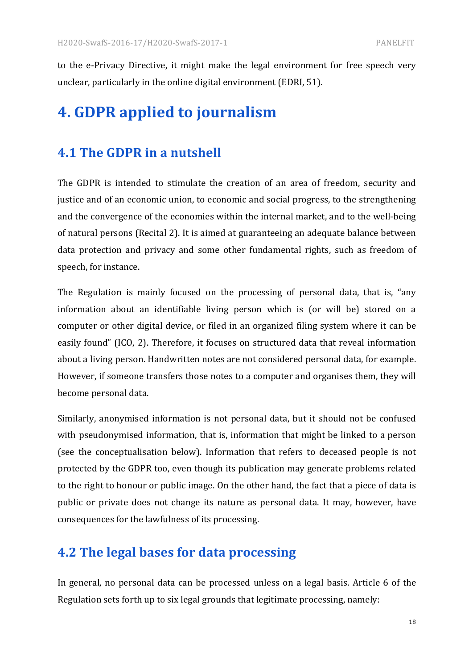to the e-Privacy Directive, it might make the legal environment for free speech very unclear, particularly in the online digital environment (EDRI, 51).

# **4. GDPR applied to journalism**

# **4.1 The GDPR in a nutshell**

The GDPR is intended to stimulate the creation of an area of freedom, security and justice and of an economic union, to economic and social progress, to the strengthening and the convergence of the economies within the internal market, and to the well-being of natural persons (Recital 2). It is aimed at guaranteeing an adequate balance between data protection and privacy and some other fundamental rights, such as freedom of speech, for instance.

The Regulation is mainly focused on the processing of personal data, that is, "any information about an identifiable living person which is (or will be) stored on a computer or other digital device, or filed in an organized filing system where it can be easily found" (ICO, 2). Therefore, it focuses on structured data that reveal information about a living person. Handwritten notes are not considered personal data, for example. However, if someone transfers those notes to a computer and organises them, they will become personal data.

Similarly, anonymised information is not personal data, but it should not be confused with pseudonymised information, that is, information that might be linked to a person (see the conceptualisation below). Information that refers to deceased people is not protected by the GDPR too, even though its publication may generate problems related to the right to honour or public image. On the other hand, the fact that a piece of data is public or private does not change its nature as personal data. It may, however, have consequences for the lawfulness of its processing.

# **4.2 The legal bases for data processing**

In general, no personal data can be processed unless on a legal basis. Article 6 of the Regulation sets forth up to six legal grounds that legitimate processing, namely: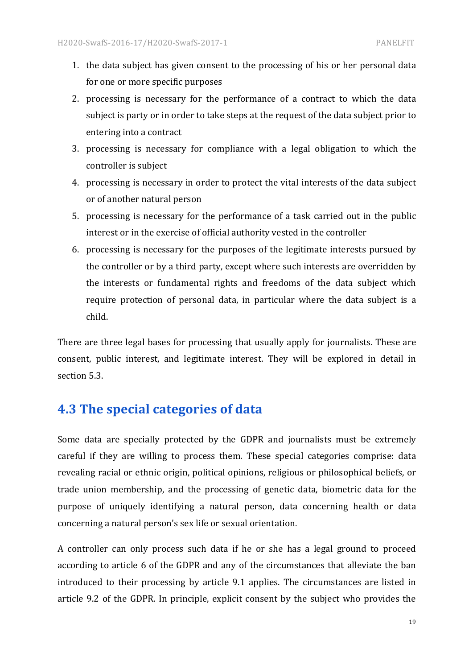- 1. the data subject has given consent to the processing of his or her personal data for one or more specific purposes
- 2. processing is necessary for the performance of a contract to which the data subject is party or in order to take steps at the request of the data subject prior to entering into a contract
- 3. processing is necessary for compliance with a legal obligation to which the controller is subject
- 4. processing is necessary in order to protect the vital interests of the data subject or of another natural person
- 5. processing is necessary for the performance of a task carried out in the public interest or in the exercise of official authority vested in the controller
- 6. processing is necessary for the purposes of the legitimate interests pursued by the controller or by a third party, except where such interests are overridden by the interests or fundamental rights and freedoms of the data subject which require protection of personal data, in particular where the data subject is a child.

There are three legal bases for processing that usually apply for journalists. These are consent, public interest, and legitimate interest. They will be explored in detail in section 5.3.

# **4.3 The special categories of data**

Some data are specially protected by the GDPR and journalists must be extremely careful if they are willing to process them. These special categories comprise: data revealing racial or ethnic origin, political opinions, religious or philosophical beliefs, or trade union membership, and the processing of genetic data, biometric data for the purpose of uniquely identifying a natural person, data concerning health or data concerning a natural person's sex life or sexual orientation.

A controller can only process such data if he or she has a legal ground to proceed according to article 6 of the GDPR and any of the circumstances that alleviate the ban introduced to their processing by article 9.1 applies. The circumstances are listed in article 9.2 of the GDPR. In principle, explicit consent by the subject who provides the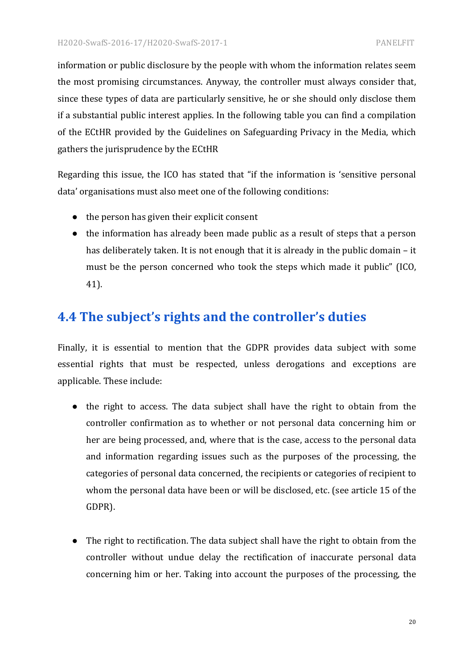information or public disclosure by the people with whom the information relates seem the most promising circumstances. Anyway, the controller must always consider that, since these types of data are particularly sensitive, he or she should only disclose them if a substantial public interest applies. In the following table you can find a compilation of the ECtHR provided by the Guidelines on Safeguarding Privacy in the Media, which gathers the jurisprudence by the ECtHR

Regarding this issue, the ICO has stated that "if the information is 'sensitive personal data' organisations must also meet one of the following conditions:

- $\bullet$  the person has given their explicit consent
- $\bullet$  the information has already been made public as a result of steps that a person has deliberately taken. It is not enough that it is already in the public domain  $-$  it must be the person concerned who took the steps which made it public" (ICO, 41).

# **4.4 The subject's rights and the controller's duties**

Finally, it is essential to mention that the GDPR provides data subject with some essential rights that must be respected, unless derogations and exceptions are applicable. These include:

- the right to access. The data subject shall have the right to obtain from the controller confirmation as to whether or not personal data concerning him or her are being processed, and, where that is the case, access to the personal data and information regarding issues such as the purposes of the processing, the categories of personal data concerned, the recipients or categories of recipient to whom the personal data have been or will be disclosed, etc. (see article 15 of the GDPR).
- The right to rectification. The data subject shall have the right to obtain from the controller without undue delay the rectification of inaccurate personal data concerning him or her. Taking into account the purposes of the processing, the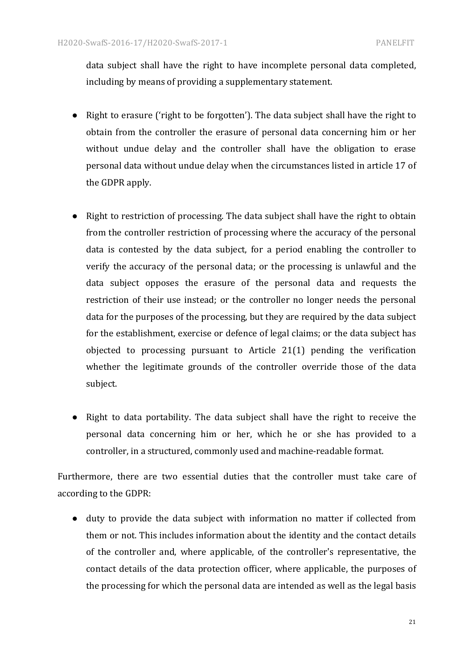data subject shall have the right to have incomplete personal data completed, including by means of providing a supplementary statement.

- Right to erasure ('right to be forgotten'). The data subject shall have the right to obtain from the controller the erasure of personal data concerning him or her without undue delay and the controller shall have the obligation to erase personal data without undue delay when the circumstances listed in article 17 of the GDPR apply.
- Right to restriction of processing. The data subject shall have the right to obtain from the controller restriction of processing where the accuracy of the personal data is contested by the data subject, for a period enabling the controller to verify the accuracy of the personal data; or the processing is unlawful and the data subject opposes the erasure of the personal data and requests the restriction of their use instead; or the controller no longer needs the personal data for the purposes of the processing, but they are required by the data subject for the establishment, exercise or defence of legal claims; or the data subject has objected to processing pursuant to Article  $21(1)$  pending the verification whether the legitimate grounds of the controller override those of the data subject.
- Right to data portability. The data subject shall have the right to receive the personal data concerning him or her, which he or she has provided to a controller, in a structured, commonly used and machine-readable format.

Furthermore, there are two essential duties that the controller must take care of according to the GDPR:

• duty to provide the data subject with information no matter if collected from them or not. This includes information about the identity and the contact details of the controller and, where applicable, of the controller's representative, the contact details of the data protection officer, where applicable, the purposes of the processing for which the personal data are intended as well as the legal basis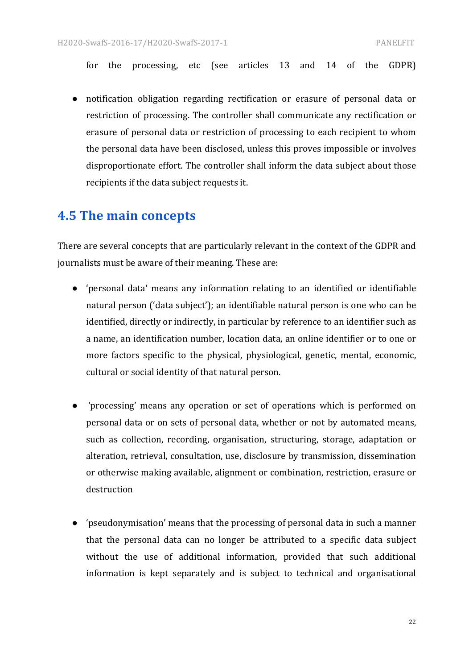for the processing, etc (see articles 13 and 14 of the GDPR)

• notification obligation regarding rectification or erasure of personal data or restriction of processing. The controller shall communicate any rectification or erasure of personal data or restriction of processing to each recipient to whom the personal data have been disclosed, unless this proves impossible or involves disproportionate effort. The controller shall inform the data subject about those recipients if the data subject requests it.

# **4.5 The main concepts**

There are several concepts that are particularly relevant in the context of the GDPR and journalists must be aware of their meaning. These are:

- 'personal data' means any information relating to an identified or identifiable natural person ('data subject'); an identifiable natural person is one who can be identified, directly or indirectly, in particular by reference to an identifier such as a name, an identification number, location data, an online identifier or to one or more factors specific to the physical, physiological, genetic, mental, economic, cultural or social identity of that natural person.
- 'processing' means any operation or set of operations which is performed on personal data or on sets of personal data, whether or not by automated means, such as collection, recording, organisation, structuring, storage, adaptation or alteration, retrieval, consultation, use, disclosure by transmission, dissemination or otherwise making available, alignment or combination, restriction, erasure or destruction
- 'pseudonymisation' means that the processing of personal data in such a manner that the personal data can no longer be attributed to a specific data subject without the use of additional information, provided that such additional information is kept separately and is subject to technical and organisational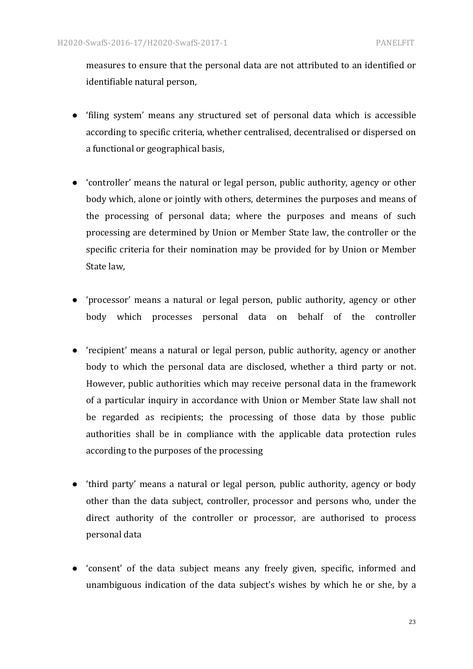measures to ensure that the personal data are not attributed to an identified or identifiable natural person,

- 'filing system' means any structured set of personal data which is accessible according to specific criteria, whether centralised, decentralised or dispersed on a functional or geographical basis,
- 'controller' means the natural or legal person, public authority, agency or other body which, alone or jointly with others, determines the purposes and means of the processing of personal data; where the purposes and means of such processing are determined by Union or Member State law, the controller or the specific criteria for their nomination may be provided for by Union or Member State law.
- 'processor' means a natural or legal person, public authority, agency or other body which processes personal data on behalf of the controller
- 'recipient' means a natural or legal person, public authority, agency or another body to which the personal data are disclosed, whether a third party or not. However, public authorities which may receive personal data in the framework of a particular inquiry in accordance with Union or Member State law shall not be regarded as recipients; the processing of those data by those public authorities shall be in compliance with the applicable data protection rules according to the purposes of the processing
- third party' means a natural or legal person, public authority, agency or body other than the data subject, controller, processor and persons who, under the direct authority of the controller or processor, are authorised to process personal data
- 'consent' of the data subject means any freely given, specific, informed and unambiguous indication of the data subject's wishes by which he or she, by a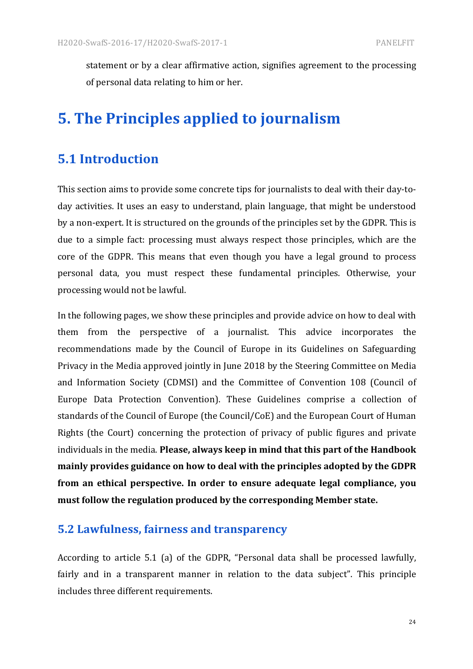statement or by a clear affirmative action, signifies agreement to the processing of personal data relating to him or her.

# **5. The Principles applied to journalism**

# **5.1 Introduction**

This section aims to provide some concrete tips for journalists to deal with their day-today activities. It uses an easy to understand, plain language, that might be understood by a non-expert. It is structured on the grounds of the principles set by the GDPR. This is due to a simple fact: processing must always respect those principles, which are the core of the GDPR. This means that even though you have a legal ground to process personal data, you must respect these fundamental principles. Otherwise, your processing would not be lawful.

In the following pages, we show these principles and provide advice on how to deal with them from the perspective of a journalist. This advice incorporates the recommendations made by the Council of Europe in its Guidelines on Safeguarding Privacy in the Media approved jointly in June 2018 by the Steering Committee on Media and Information Society (CDMSI) and the Committee of Convention 108 (Council of Europe Data Protection Convention). These Guidelines comprise a collection of standards of the Council of Europe (the Council/CoE) and the European Court of Human Rights (the Court) concerning the protection of privacy of public figures and private individuals in the media. Please, always keep in mind that this part of the Handbook mainly provides guidance on how to deal with the principles adopted by the GDPR from an ethical perspective. In order to ensure adequate legal compliance, you must follow the regulation produced by the corresponding Member state.

### **5.2 Lawfulness, fairness and transparency**

According to article 5.1 (a) of the GDPR, "Personal data shall be processed lawfully, fairly and in a transparent manner in relation to the data subject". This principle includes three different requirements.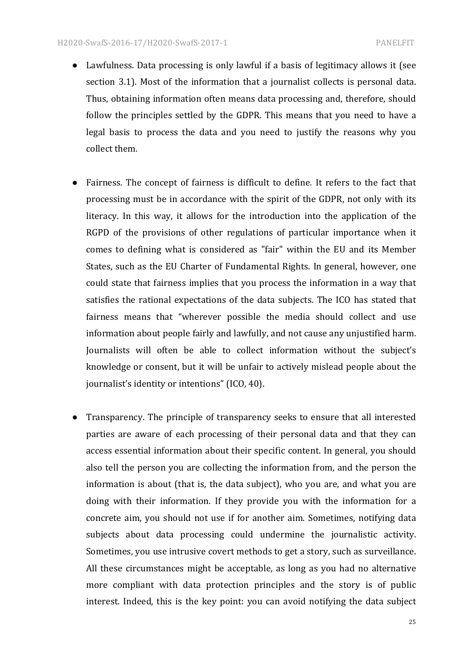- Lawfulness. Data processing is only lawful if a basis of legitimacy allows it (see section 3.1). Most of the information that a journalist collects is personal data. Thus, obtaining information often means data processing and, therefore, should follow the principles settled by the GDPR. This means that you need to have a legal basis to process the data and you need to justify the reasons why you collect them.
- Fairness. The concept of fairness is difficult to define. It refers to the fact that processing must be in accordance with the spirit of the GDPR, not only with its literacy. In this way, it allows for the introduction into the application of the RGPD of the provisions of other regulations of particular importance when it comes to defining what is considered as "fair" within the EU and its Member States, such as the EU Charter of Fundamental Rights. In general, however, one could state that fairness implies that you process the information in a way that satisfies the rational expectations of the data subjects. The ICO has stated that fairness means that "wherever possible the media should collect and use information about people fairly and lawfully, and not cause any unjustified harm. Journalists will often be able to collect information without the subject's knowledge or consent, but it will be unfair to actively mislead people about the journalist's identity or intentions" (ICO, 40).
- Transparency. The principle of transparency seeks to ensure that all interested parties are aware of each processing of their personal data and that they can access essential information about their specific content. In general, you should also tell the person you are collecting the information from, and the person the information is about (that is, the data subject), who you are, and what you are doing with their information. If they provide you with the information for a concrete aim, you should not use if for another aim. Sometimes, notifying data subjects about data processing could undermine the journalistic activity. Sometimes, you use intrusive covert methods to get a story, such as surveillance. All these circumstances might be acceptable, as long as you had no alternative more compliant with data protection principles and the story is of public interest. Indeed, this is the key point: you can avoid notifying the data subject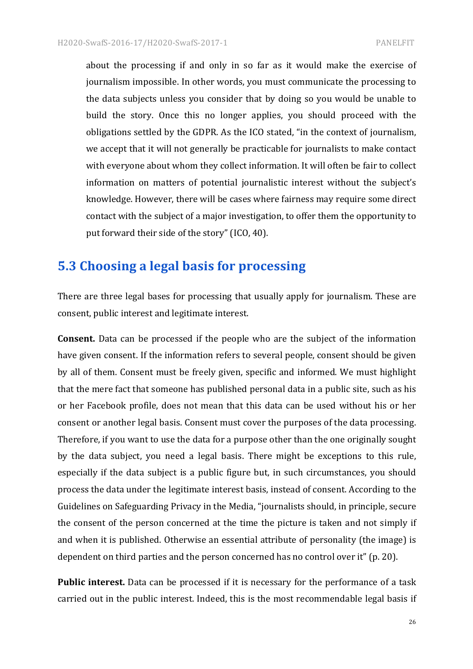about the processing if and only in so far as it would make the exercise of journalism impossible. In other words, you must communicate the processing to the data subjects unless you consider that by doing so you would be unable to build the story. Once this no longer applies, you should proceed with the obligations settled by the GDPR. As the ICO stated, "in the context of journalism, we accept that it will not generally be practicable for journalists to make contact with everyone about whom they collect information. It will often be fair to collect information on matters of potential journalistic interest without the subject's knowledge. However, there will be cases where fairness may require some direct contact with the subject of a major investigation, to offer them the opportunity to put forward their side of the story" (ICO, 40).

# **5.3 Choosing a legal basis for processing**

There are three legal bases for processing that usually apply for journalism. These are consent, public interest and legitimate interest.

**Consent.** Data can be processed if the people who are the subject of the information have given consent. If the information refers to several people, consent should be given by all of them. Consent must be freely given, specific and informed. We must highlight that the mere fact that someone has published personal data in a public site, such as his or her Facebook profile, does not mean that this data can be used without his or her consent or another legal basis. Consent must cover the purposes of the data processing. Therefore, if you want to use the data for a purpose other than the one originally sought by the data subject, you need a legal basis. There might be exceptions to this rule, especially if the data subject is a public figure but, in such circumstances, you should process the data under the legitimate interest basis, instead of consent. According to the Guidelines on Safeguarding Privacy in the Media, "journalists should, in principle, secure the consent of the person concerned at the time the picture is taken and not simply if and when it is published. Otherwise an essential attribute of personality (the image) is dependent on third parties and the person concerned has no control over it" (p. 20).

**Public interest.** Data can be processed if it is necessary for the performance of a task carried out in the public interest. Indeed, this is the most recommendable legal basis if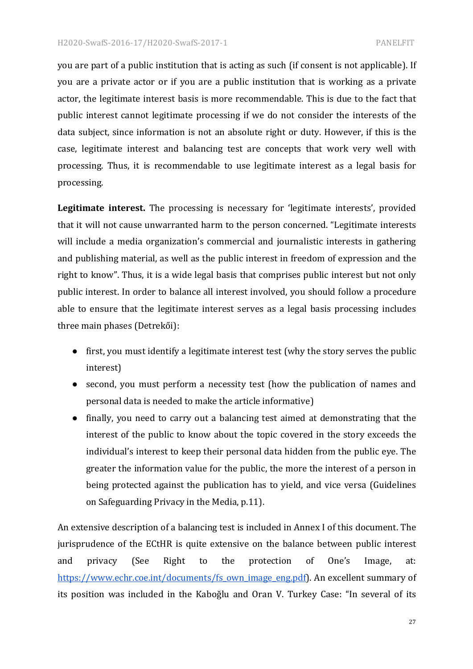you are part of a public institution that is acting as such (if consent is not applicable). If you are a private actor or if you are a public institution that is working as a private actor, the legitimate interest basis is more recommendable. This is due to the fact that public interest cannot legitimate processing if we do not consider the interests of the data subject, since information is not an absolute right or duty. However, if this is the case, legitimate interest and balancing test are concepts that work very well with processing. Thus, it is recommendable to use legitimate interest as a legal basis for processing.

**Legitimate interest.** The processing is necessary for 'legitimate interests', provided that it will not cause unwarranted harm to the person concerned. "Legitimate interests will include a media organization's commercial and journalistic interests in gathering and publishing material, as well as the public interest in freedom of expression and the right to know". Thus, it is a wide legal basis that comprises public interest but not only public interest. In order to balance all interest involved, you should follow a procedure able to ensure that the legitimate interest serves as a legal basis processing includes three main phases (Detrekői):

- first, you must identify a legitimate interest test (why the story serves the public interest)
- second, you must perform a necessity test (how the publication of names and personal data is needed to make the article informative)
- finally, you need to carry out a balancing test aimed at demonstrating that the interest of the public to know about the topic covered in the story exceeds the individual's interest to keep their personal data hidden from the public eye. The greater the information value for the public, the more the interest of a person in being protected against the publication has to yield, and vice versa (Guidelines on Safeguarding Privacy in the Media, p.11).

An extensive description of a balancing test is included in Annex I of this document. The jurisprudence of the ECtHR is quite extensive on the balance between public interest and privacy (See Right to the protection of One's Image, at: https://www.echr.coe.int/documents/fs\_own\_image\_eng.pdf). An excellent summary of its position was included in the Kaboğlu and Oran V. Turkey Case: "In several of its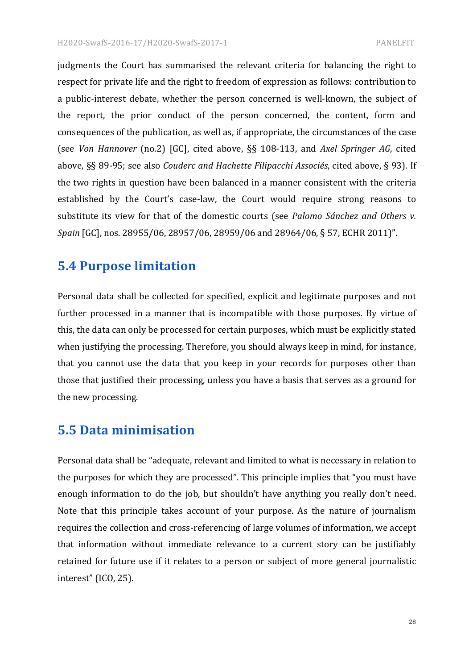judgments the Court has summarised the relevant criteria for balancing the right to respect for private life and the right to freedom of expression as follows: contribution to a public-interest debate, whether the person concerned is well-known, the subject of the report, the prior conduct of the person concerned, the content, form and consequences of the publication, as well as, if appropriate, the circumstances of the case (see *Von Hannover* (no.2) [GC], cited above, §§ 108-113, and *Axel Springer AG*, cited above, §§ 89-95; see also *Couderc and Hachette Filipacchi Associés*, cited above, § 93). If the two rights in question have been balanced in a manner consistent with the criteria established by the Court's case-law, the Court would require strong reasons to substitute its view for that of the domestic courts (see *Palomo Sánchez and Others v. Spain* [GC], nos. 28955/06, 28957/06, 28959/06 and 28964/06, § 57, ECHR 2011)".

# **5.4 Purpose limitation**

Personal data shall be collected for specified, explicit and legitimate purposes and not further processed in a manner that is incompatible with those purposes. By virtue of this, the data can only be processed for certain purposes, which must be explicitly stated when justifying the processing. Therefore, you should always keep in mind, for instance, that you cannot use the data that you keep in your records for purposes other than those that justified their processing, unless you have a basis that serves as a ground for the new processing.

# **5.5 Data minimisation**

Personal data shall be "adequate, relevant and limited to what is necessary in relation to the purposes for which they are processed". This principle implies that "you must have enough information to do the job, but shouldn't have anything you really don't need. Note that this principle takes account of your purpose. As the nature of journalism requires the collection and cross-referencing of large volumes of information, we accept that information without immediate relevance to a current story can be justifiably retained for future use if it relates to a person or subject of more general journalistic interest" (ICO, 25).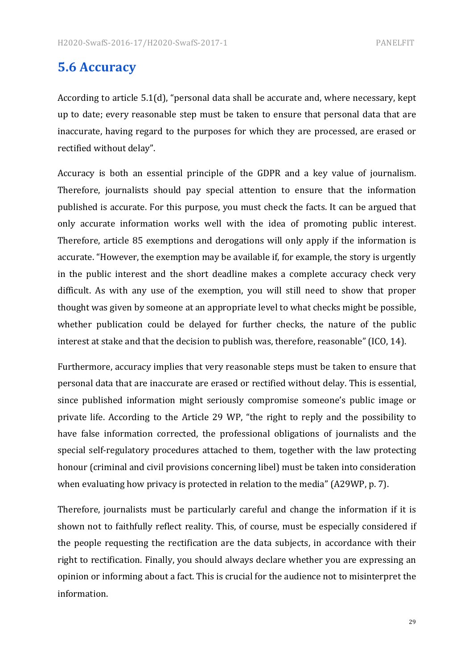# **5.6 Accuracy**

According to article  $5.1(d)$ , "personal data shall be accurate and, where necessary, kept up to date; every reasonable step must be taken to ensure that personal data that are inaccurate, having regard to the purposes for which they are processed, are erased or rectified without delay".

Accuracy is both an essential principle of the GDPR and a key value of journalism. Therefore, journalists should pay special attention to ensure that the information published is accurate. For this purpose, you must check the facts. It can be argued that only accurate information works well with the idea of promoting public interest. Therefore, article 85 exemptions and derogations will only apply if the information is accurate. "However, the exemption may be available if, for example, the story is urgently in the public interest and the short deadline makes a complete accuracy check very difficult. As with any use of the exemption, you will still need to show that proper thought was given by someone at an appropriate level to what checks might be possible, whether publication could be delayed for further checks, the nature of the public interest at stake and that the decision to publish was, therefore, reasonable" (ICO, 14).

Furthermore, accuracy implies that very reasonable steps must be taken to ensure that personal data that are inaccurate are erased or rectified without delay. This is essential, since published information might seriously compromise someone's public image or private life. According to the Article 29 WP, "the right to reply and the possibility to have false information corrected, the professional obligations of journalists and the special self-regulatory procedures attached to them, together with the law protecting honour (criminal and civil provisions concerning libel) must be taken into consideration when evaluating how privacy is protected in relation to the media" (A29WP, p. 7).

Therefore, journalists must be particularly careful and change the information if it is shown not to faithfully reflect reality. This, of course, must be especially considered if the people requesting the rectification are the data subjects, in accordance with their right to rectification. Finally, you should always declare whether you are expressing an opinion or informing about a fact. This is crucial for the audience not to misinterpret the information.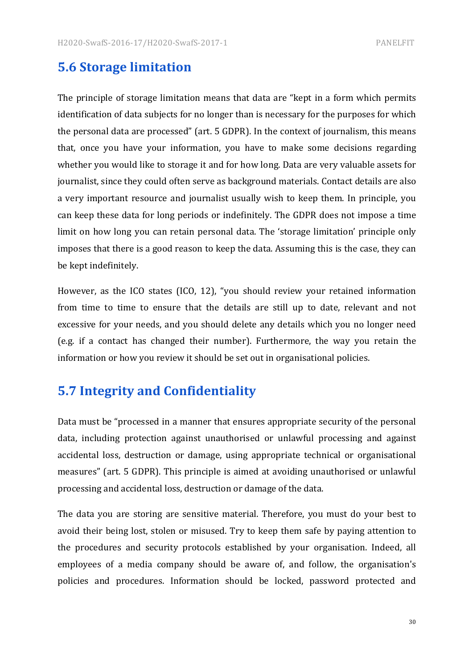# **5.6 Storage limitation**

The principle of storage limitation means that data are "kept in a form which permits identification of data subjects for no longer than is necessary for the purposes for which the personal data are processed" (art. 5 GDPR). In the context of journalism, this means that, once you have your information, you have to make some decisions regarding whether you would like to storage it and for how long. Data are very valuable assets for journalist, since they could often serve as background materials. Contact details are also a very important resource and journalist usually wish to keep them. In principle, you can keep these data for long periods or indefinitely. The GDPR does not impose a time limit on how long you can retain personal data. The 'storage limitation' principle only imposes that there is a good reason to keep the data. Assuming this is the case, they can be kept indefinitely.

However, as the ICO states (ICO, 12), "you should review your retained information from time to time to ensure that the details are still up to date, relevant and not excessive for your needs, and you should delete any details which you no longer need (e.g. if a contact has changed their number). Furthermore, the way you retain the information or how you review it should be set out in organisational policies.

# **5.7 Integrity and Confidentiality**

Data must be "processed in a manner that ensures appropriate security of the personal data, including protection against unauthorised or unlawful processing and against accidental loss, destruction or damage, using appropriate technical or organisational measures" (art. 5 GDPR). This principle is aimed at avoiding unauthorised or unlawful processing and accidental loss, destruction or damage of the data.

The data you are storing are sensitive material. Therefore, you must do your best to avoid their being lost, stolen or misused. Try to keep them safe by paying attention to the procedures and security protocols established by your organisation. Indeed, all employees of a media company should be aware of, and follow, the organisation's policies and procedures. Information should be locked, password protected and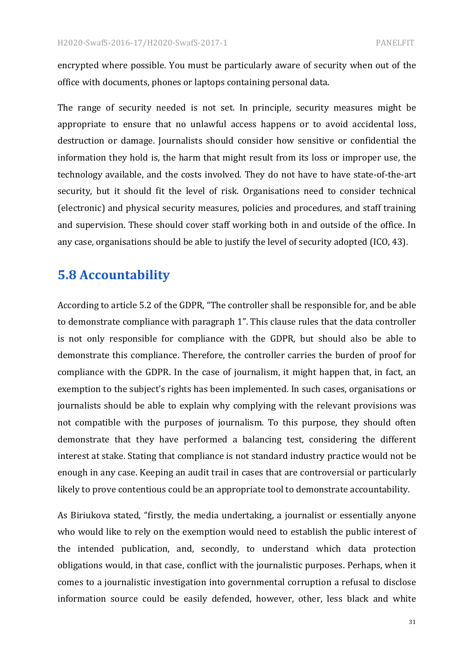encrypted where possible. You must be particularly aware of security when out of the office with documents, phones or laptops containing personal data.

The range of security needed is not set. In principle, security measures might be appropriate to ensure that no unlawful access happens or to avoid accidental loss, destruction or damage. Journalists should consider how sensitive or confidential the information they hold is, the harm that might result from its loss or improper use, the technology available, and the costs involved. They do not have to have state-of-the-art security, but it should fit the level of risk. Organisations need to consider technical (electronic) and physical security measures, policies and procedures, and staff training and supervision. These should cover staff working both in and outside of the office. In any case, organisations should be able to justify the level of security adopted (ICO, 43).

# **5.8 Accountability**

According to article 5.2 of the GDPR, "The controller shall be responsible for, and be able to demonstrate compliance with paragraph 1". This clause rules that the data controller is not only responsible for compliance with the GDPR, but should also be able to demonstrate this compliance. Therefore, the controller carries the burden of proof for compliance with the GDPR. In the case of journalism, it might happen that, in fact, an exemption to the subject's rights has been implemented. In such cases, organisations or journalists should be able to explain why complying with the relevant provisions was not compatible with the purposes of journalism. To this purpose, they should often demonstrate that they have performed a balancing test, considering the different interest at stake. Stating that compliance is not standard industry practice would not be enough in any case. Keeping an audit trail in cases that are controversial or particularly likely to prove contentious could be an appropriate tool to demonstrate accountability.

As Biriukova stated, "firstly, the media undertaking, a journalist or essentially anyone who would like to rely on the exemption would need to establish the public interest of the intended publication, and, secondly, to understand which data protection obligations would, in that case, conflict with the journalistic purposes. Perhaps, when it comes to a journalistic investigation into governmental corruption a refusal to disclose information source could be easily defended, however, other, less black and white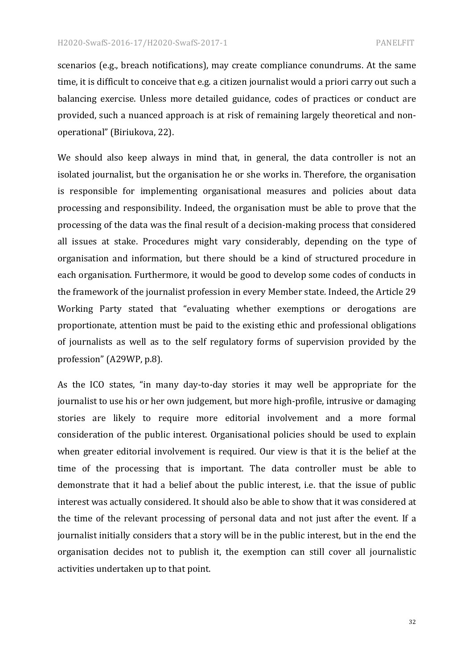scenarios (e.g., breach notifications), may create compliance conundrums. At the same time, it is difficult to conceive that e.g. a citizen journalist would a priori carry out such a balancing exercise. Unless more detailed guidance, codes of practices or conduct are provided, such a nuanced approach is at risk of remaining largely theoretical and nonoperational" (Biriukova, 22).

We should also keep always in mind that, in general, the data controller is not an isolated journalist, but the organisation he or she works in. Therefore, the organisation is responsible for implementing organisational measures and policies about data processing and responsibility. Indeed, the organisation must be able to prove that the processing of the data was the final result of a decision-making process that considered all issues at stake. Procedures might vary considerably, depending on the type of organisation and information, but there should be a kind of structured procedure in each organisation. Furthermore, it would be good to develop some codes of conducts in the framework of the journalist profession in every Member state. Indeed, the Article 29 Working Party stated that "evaluating whether exemptions or derogations are proportionate, attention must be paid to the existing ethic and professional obligations of journalists as well as to the self regulatory forms of supervision provided by the profession" (A29WP, p.8).

As the ICO states, "in many day-to-day stories it may well be appropriate for the journalist to use his or her own judgement, but more high-profile, intrusive or damaging stories are likely to require more editorial involvement and a more formal consideration of the public interest. Organisational policies should be used to explain when greater editorial involvement is required. Our view is that it is the belief at the time of the processing that is important. The data controller must be able to demonstrate that it had a belief about the public interest, *i.e.* that the issue of public interest was actually considered. It should also be able to show that it was considered at the time of the relevant processing of personal data and not just after the event. If a journalist initially considers that a story will be in the public interest, but in the end the organisation decides not to publish it, the exemption can still cover all journalistic activities undertaken up to that point.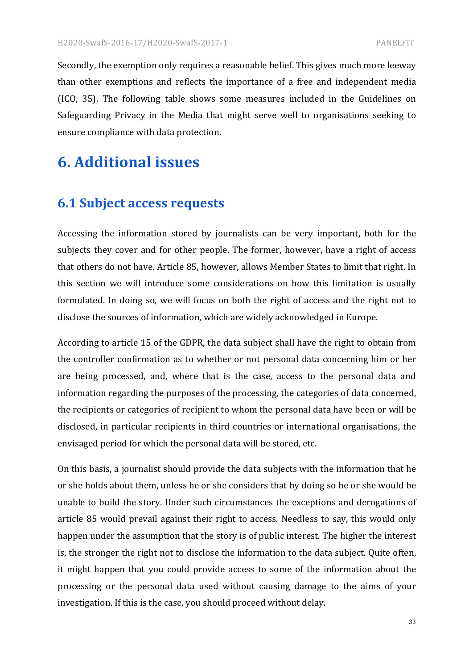Secondly, the exemption only requires a reasonable belief. This gives much more leeway than other exemptions and reflects the importance of a free and independent media (ICO, 35). The following table shows some measures included in the Guidelines on Safeguarding Privacy in the Media that might serve well to organisations seeking to ensure compliance with data protection.

# **6.** Additional issues

# **6.1 Subject access requests**

Accessing the information stored by journalists can be very important, both for the subjects they cover and for other people. The former, however, have a right of access that others do not have. Article 85, however, allows Member States to limit that right. In this section we will introduce some considerations on how this limitation is usually formulated. In doing so, we will focus on both the right of access and the right not to disclose the sources of information, which are widely acknowledged in Europe.

According to article 15 of the GDPR, the data subject shall have the right to obtain from the controller confirmation as to whether or not personal data concerning him or her are being processed, and, where that is the case, access to the personal data and information regarding the purposes of the processing, the categories of data concerned, the recipients or categories of recipient to whom the personal data have been or will be disclosed, in particular recipients in third countries or international organisations, the envisaged period for which the personal data will be stored, etc.

On this basis, a journalist should provide the data subjects with the information that he or she holds about them, unless he or she considers that by doing so he or she would be unable to build the story. Under such circumstances the exceptions and derogations of article 85 would prevail against their right to access. Needless to say, this would only happen under the assumption that the story is of public interest. The higher the interest is, the stronger the right not to disclose the information to the data subject. Ouite often, it might happen that you could provide access to some of the information about the processing or the personal data used without causing damage to the aims of your investigation. If this is the case, you should proceed without delay.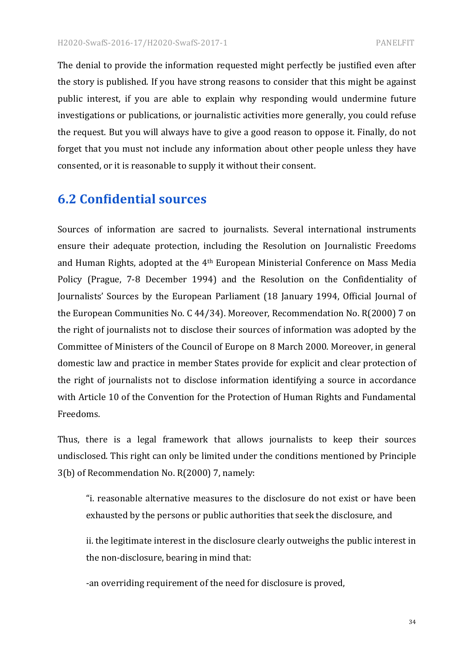The denial to provide the information requested might perfectly be justified even after the story is published. If you have strong reasons to consider that this might be against public interest, if you are able to explain why responding would undermine future investigations or publications, or journalistic activities more generally, you could refuse the request. But you will always have to give a good reason to oppose it. Finally, do not forget that you must not include any information about other people unless they have consented, or it is reasonable to supply it without their consent.

# **6.2 Confidential sources**

Sources of information are sacred to journalists. Several international instruments ensure their adequate protection, including the Resolution on Journalistic Freedoms and Human Rights, adopted at the 4<sup>th</sup> European Ministerial Conference on Mass Media Policy (Prague, 7-8 December 1994) and the Resolution on the Confidentiality of Journalists' Sources by the European Parliament (18 January 1994, Official Journal of the European Communities No. C 44/34). Moreover, Recommendation No. R(2000) 7 on the right of journalists not to disclose their sources of information was adopted by the Committee of Ministers of the Council of Europe on 8 March 2000. Moreover, in general domestic law and practice in member States provide for explicit and clear protection of the right of journalists not to disclose information identifying a source in accordance with Article 10 of the Convention for the Protection of Human Rights and Fundamental Freedoms.

Thus, there is a legal framework that allows journalists to keep their sources undisclosed. This right can only be limited under the conditions mentioned by Principle 3(b) of Recommendation No. R(2000) 7, namely:

"i. reasonable alternative measures to the disclosure do not exist or have been exhausted by the persons or public authorities that seek the disclosure, and

ii. the legitimate interest in the disclosure clearly outweighs the public interest in the non-disclosure, bearing in mind that:

-an overriding requirement of the need for disclosure is proved,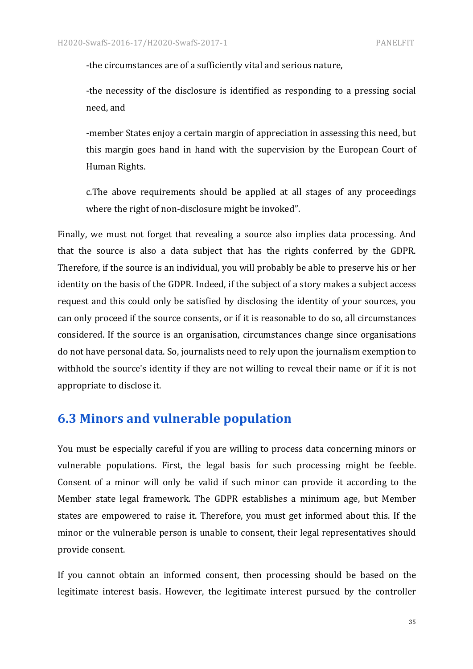-the circumstances are of a sufficiently vital and serious nature,

-the necessity of the disclosure is identified as responding to a pressing social need, and

-member States enjoy a certain margin of appreciation in assessing this need, but this margin goes hand in hand with the supervision by the European Court of Human Rights.

c. The above requirements should be applied at all stages of any proceedings where the right of non-disclosure might be invoked".

Finally, we must not forget that revealing a source also implies data processing. And that the source is also a data subject that has the rights conferred by the GDPR. Therefore, if the source is an individual, you will probably be able to preserve his or her identity on the basis of the GDPR. Indeed, if the subject of a story makes a subject access request and this could only be satisfied by disclosing the identity of your sources, you can only proceed if the source consents, or if it is reasonable to do so, all circumstances considered. If the source is an organisation, circumstances change since organisations do not have personal data. So, journalists need to rely upon the journalism exemption to withhold the source's identity if they are not willing to reveal their name or if it is not appropriate to disclose it.

# **6.3 Minors and vulnerable population**

You must be especially careful if you are willing to process data concerning minors or vulnerable populations. First, the legal basis for such processing might be feeble. Consent of a minor will only be valid if such minor can provide it according to the Member state legal framework. The GDPR establishes a minimum age, but Member states are empowered to raise it. Therefore, you must get informed about this. If the minor or the vulnerable person is unable to consent, their legal representatives should provide consent.

If you cannot obtain an informed consent, then processing should be based on the legitimate interest basis. However, the legitimate interest pursued by the controller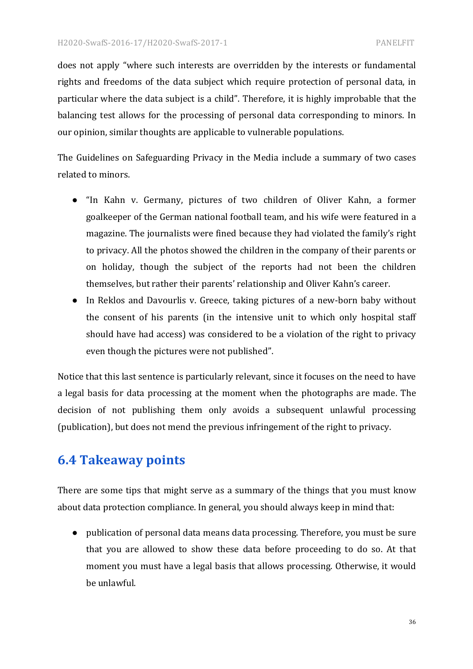does not apply "where such interests are overridden by the interests or fundamental rights and freedoms of the data subject which require protection of personal data, in particular where the data subject is a child". Therefore, it is highly improbable that the balancing test allows for the processing of personal data corresponding to minors. In our opinion, similar thoughts are applicable to vulnerable populations.

The Guidelines on Safeguarding Privacy in the Media include a summary of two cases related to minors.

- "In Kahn v. Germany, pictures of two children of Oliver Kahn, a former goalkeeper of the German national football team, and his wife were featured in a magazine. The journalists were fined because they had violated the family's right to privacy. All the photos showed the children in the company of their parents or on holiday, though the subject of the reports had not been the children themselves, but rather their parents' relationship and Oliver Kahn's career.
- In Reklos and Davourlis v. Greece, taking pictures of a new-born baby without the consent of his parents (in the intensive unit to which only hospital staff should have had access) was considered to be a violation of the right to privacy even though the pictures were not published".

Notice that this last sentence is particularly relevant, since it focuses on the need to have a legal basis for data processing at the moment when the photographs are made. The decision of not publishing them only avoids a subsequent unlawful processing (publication), but does not mend the previous infringement of the right to privacy.

# **6.4 Takeaway points**

There are some tips that might serve as a summary of the things that you must know about data protection compliance. In general, you should always keep in mind that:

• publication of personal data means data processing. Therefore, you must be sure that you are allowed to show these data before proceeding to do so. At that moment you must have a legal basis that allows processing. Otherwise, it would be unlawful.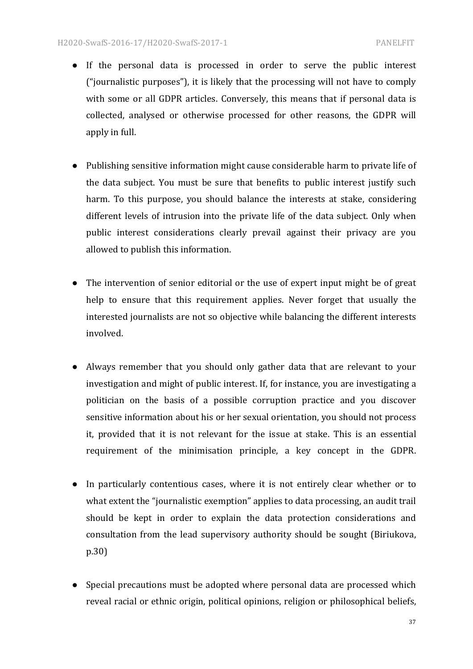- If the personal data is processed in order to serve the public interest ("journalistic purposes"), it is likely that the processing will not have to comply with some or all GDPR articles. Conversely, this means that if personal data is collected, analysed or otherwise processed for other reasons, the GDPR will apply in full.
- Publishing sensitive information might cause considerable harm to private life of the data subject. You must be sure that benefits to public interest justify such harm. To this purpose, you should balance the interests at stake, considering different levels of intrusion into the private life of the data subject. Only when public interest considerations clearly prevail against their privacy are you allowed to publish this information.
- The intervention of senior editorial or the use of expert input might be of great help to ensure that this requirement applies. Never forget that usually the interested journalists are not so objective while balancing the different interests involved.
- Always remember that you should only gather data that are relevant to your investigation and might of public interest. If, for instance, you are investigating a politician on the basis of a possible corruption practice and you discover sensitive information about his or her sexual orientation, you should not process it, provided that it is not relevant for the issue at stake. This is an essential requirement of the minimisation principle, a key concept in the GDPR.
- In particularly contentious cases, where it is not entirely clear whether or to what extent the "journalistic exemption" applies to data processing, an audit trail should be kept in order to explain the data protection considerations and consultation from the lead supervisory authority should be sought (Biriukova, p.30)
- Special precautions must be adopted where personal data are processed which reveal racial or ethnic origin, political opinions, religion or philosophical beliefs,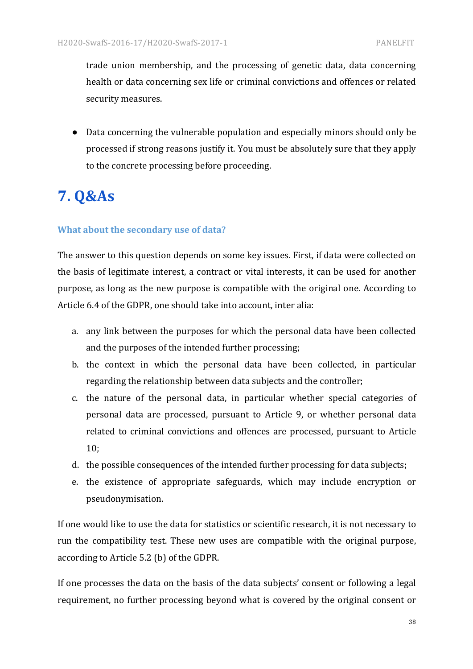trade union membership, and the processing of genetic data, data concerning health or data concerning sex life or criminal convictions and offences or related security measures.

• Data concerning the vulnerable population and especially minors should only be processed if strong reasons justify it. You must be absolutely sure that they apply to the concrete processing before proceeding.

# **7. Q&As**

#### **What about the secondary use of data?**

The answer to this question depends on some key issues. First, if data were collected on the basis of legitimate interest, a contract or vital interests, it can be used for another purpose, as long as the new purpose is compatible with the original one. According to Article 6.4 of the GDPR, one should take into account, inter alia:

- a. any link between the purposes for which the personal data have been collected and the purposes of the intended further processing;
- b. the context in which the personal data have been collected, in particular regarding the relationship between data subjects and the controller;
- c. the nature of the personal data, in particular whether special categories of personal data are processed, pursuant to Article 9, or whether personal data related to criminal convictions and offences are processed, pursuant to Article 10;
- d. the possible consequences of the intended further processing for data subjects;
- e. the existence of appropriate safeguards, which may include encryption or pseudonymisation.

If one would like to use the data for statistics or scientific research, it is not necessary to run the compatibility test. These new uses are compatible with the original purpose, according to Article 5.2 (b) of the GDPR.

If one processes the data on the basis of the data subjects' consent or following a legal requirement, no further processing beyond what is covered by the original consent or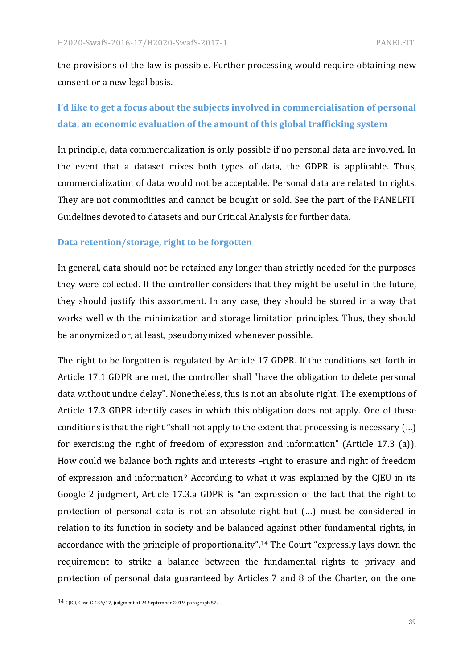the provisions of the law is possible. Further processing would require obtaining new consent or a new legal basis.

# I'd like to get a focus about the subjects involved in commercialisation of personal data, an economic evaluation of the amount of this global trafficking system

In principle, data commercialization is only possible if no personal data are involved. In the event that a dataset mixes both types of data, the GDPR is applicable. Thus, commercialization of data would not be acceptable. Personal data are related to rights. They are not commodities and cannot be bought or sold. See the part of the PANELFIT Guidelines devoted to datasets and our Critical Analysis for further data.

#### Data retention/storage, right to be forgotten

In general, data should not be retained any longer than strictly needed for the purposes they were collected. If the controller considers that they might be useful in the future, they should justify this assortment. In any case, they should be stored in a way that works well with the minimization and storage limitation principles. Thus, they should be anonymized or, at least, pseudonymized whenever possible.

The right to be forgotten is regulated by Article 17 GDPR. If the conditions set forth in Article 17.1 GDPR are met, the controller shall "have the obligation to delete personal data without undue delay". Nonetheless, this is not an absolute right. The exemptions of Article 17.3 GDPR identify cases in which this obligation does not apply. One of these conditions is that the right "shall not apply to the extent that processing is necessary  $(...)$ for exercising the right of freedom of expression and information" (Article 17.3 (a)). How could we balance both rights and interests -right to erasure and right of freedom of expression and information? According to what it was explained by the CJEU in its Google 2 judgment, Article 17.3.a GDPR is "an expression of the fact that the right to protection of personal data is not an absolute right but  $(...)$  must be considered in relation to its function in society and be balanced against other fundamental rights, in accordance with the principle of proportionality".<sup>14</sup> The Court "expressly lays down the requirement to strike a balance between the fundamental rights to privacy and protection of personal data guaranteed by Articles 7 and 8 of the Charter, on the one

 

<sup>14</sup> CJEU, Case C-136/17, judgment of 24 September 2019, paragraph 57.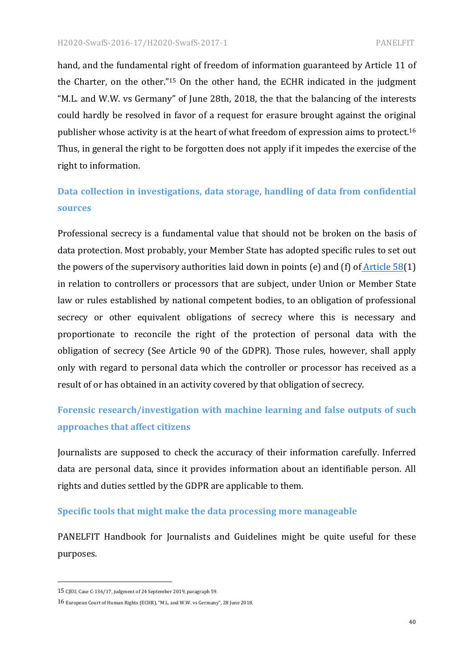hand, and the fundamental right of freedom of information guaranteed by Article 11 of the Charter, on the other."<sup>15</sup> On the other hand, the ECHR indicated in the judgment "M.L. and W.W. vs Germany" of June 28th, 2018, the that the balancing of the interests could hardly be resolved in favor of a request for erasure brought against the original publisher whose activity is at the heart of what freedom of expression aims to protect.<sup>16</sup> Thus, in general the right to be forgotten does not apply if it impedes the exercise of the right to information.

# Data collection in investigations, data storage, handling of data from confidential **sources**

Professional secrecy is a fundamental value that should not be broken on the basis of data protection. Most probably, your Member State has adopted specific rules to set out the powers of the supervisory authorities laid down in points  $(e)$  and  $(f)$  of Article 58(1) in relation to controllers or processors that are subject, under Union or Member State law or rules established by national competent bodies, to an obligation of professional secrecy or other equivalent obligations of secrecy where this is necessary and proportionate to reconcile the right of the protection of personal data with the obligation of secrecy (See Article 90 of the GDPR). Those rules, however, shall apply only with regard to personal data which the controller or processor has received as a result of or has obtained in an activity covered by that obligation of secrecy.

# Forensic research/investigation with machine learning and false outputs of such **approaches that affect citizens**

Journalists are supposed to check the accuracy of their information carefully. Inferred data are personal data, since it provides information about an identifiable person. All rights and duties settled by the GDPR are applicable to them.

#### **Specific tools that might make the data processing more manageable**

PANELFIT Handbook for Journalists and Guidelines might be quite useful for these purposes.

 

<sup>15</sup> CJEU, Case C-136/17, judgment of 24 September 2019, paragraph 59.

<sup>16</sup> European Court of Human Rights (ECHR), "M.L. and W.W. vs Germany", 28 June 2018.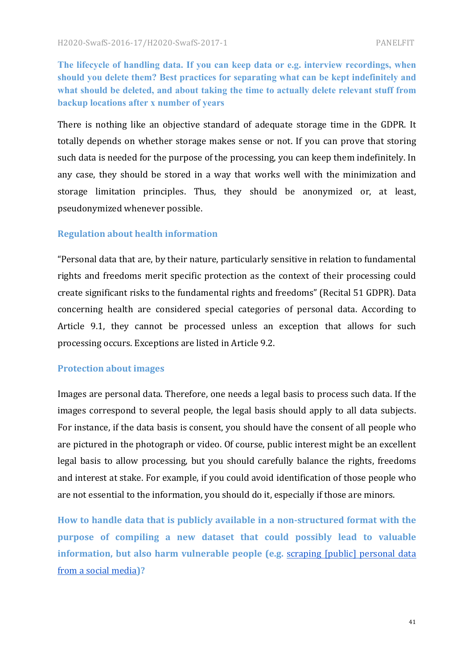**The lifecycle of handling data. If you can keep data or e.g. interview recordings, when should you delete them? Best practices for separating what can be kept indefinitely and what should be deleted, and about taking the time to actually delete relevant stuff from backup locations after x number of years**

There is nothing like an objective standard of adequate storage time in the GDPR. It totally depends on whether storage makes sense or not. If you can prove that storing such data is needed for the purpose of the processing, you can keep them indefinitely. In any case, they should be stored in a way that works well with the minimization and storage limitation principles. Thus, they should be anonymized or, at least, pseudonymized whenever possible.

#### **Regulation about health information**

"Personal data that are, by their nature, particularly sensitive in relation to fundamental rights and freedoms merit specific protection as the context of their processing could create significant risks to the fundamental rights and freedoms" (Recital 51 GDPR). Data concerning health are considered special categories of personal data. According to Article 9.1, they cannot be processed unless an exception that allows for such processing occurs. Exceptions are listed in Article 9.2.

#### **Protection about images**

Images are personal data. Therefore, one needs a legal basis to process such data. If the images correspond to several people, the legal basis should apply to all data subjects. For instance, if the data basis is consent, you should have the consent of all people who are pictured in the photograph or video. Of course, public interest might be an excellent legal basis to allow processing, but you should carefully balance the rights, freedoms and interest at stake. For example, if you could avoid identification of those people who are not essential to the information, you should do it, especially if those are minors.

How to handle data that is publicly available in a non-structured format with the **purpose** of compiling a new dataset that could possibly lead to valuable **information, but also harm vulnerable people (e.g.** scraping [public] personal data from a social media**)?**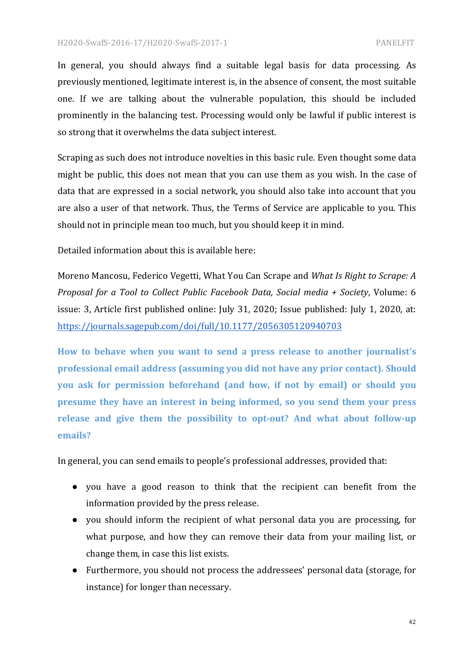In general, you should always find a suitable legal basis for data processing. As previously mentioned, legitimate interest is, in the absence of consent, the most suitable one. If we are talking about the vulnerable population, this should be included prominently in the balancing test. Processing would only be lawful if public interest is so strong that it overwhelms the data subject interest.

Scraping as such does not introduce novelties in this basic rule. Even thought some data might be public, this does not mean that you can use them as you wish. In the case of data that are expressed in a social network, you should also take into account that you are also a user of that network. Thus, the Terms of Service are applicable to you. This should not in principle mean too much, but you should keep it in mind.

Detailed information about this is available here:

Moreno Mancosu, Federico Vegetti, What You Can Scrape and *What Is Right to Scrape: A Proposal for a Tool to Collect Public Facebook Data, Social media* + Society, Volume: 6 issue: 3, Article first published online: July 31, 2020; Issue published: July 1, 2020, at: https://journals.sagepub.com/doi/full/10.1177/2056305120940703

How to behave when you want to send a press release to another journalist's professional email address (assuming you did not have any prior contact). Should **you** ask for permission beforehand (and how, if not by email) or should you **presume they have an interest in being informed, so you send them your press** release and give them the possibility to opt-out? And what about follow-up **emails?**

In general, you can send emails to people's professional addresses, provided that:

- you have a good reason to think that the recipient can benefit from the information provided by the press release.
- you should inform the recipient of what personal data you are processing, for what purpose, and how they can remove their data from your mailing list, or change them, in case this list exists.
- Furthermore, you should not process the addressees' personal data (storage, for instance) for longer than necessary.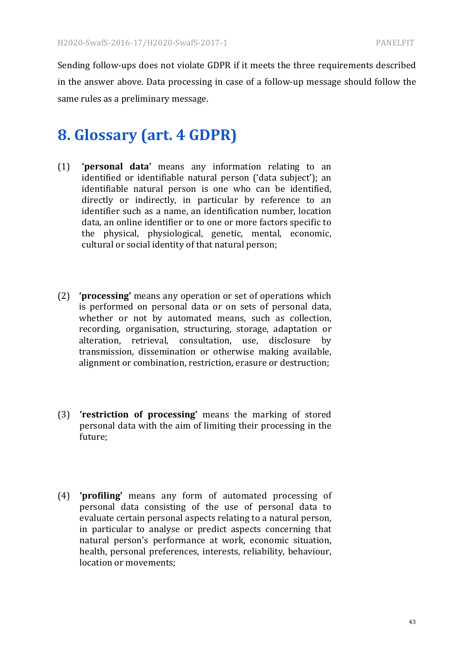Sending follow-ups does not violate GDPR if it meets the three requirements described in the answer above. Data processing in case of a follow-up message should follow the same rules as a preliminary message.

# **8. Glossary (art. 4 GDPR)**

- (1) **'personal data'** means any information relating to an identified or identifiable natural person ('data subject'); an identifiable natural person is one who can be identified, directly or indirectly, in particular by reference to an identifier such as a name, an identification number, location data, an online identifier or to one or more factors specific to the physical, physiological, genetic, mental, economic, cultural or social identity of that natural person;
- (2) **'processing'** means any operation or set of operations which is performed on personal data or on sets of personal data, whether or not by automated means, such as collection, recording, organisation, structuring, storage, adaptation or alteration, retrieval, consultation, use, disclosure by transmission, dissemination or otherwise making available, alignment or combination, restriction, erasure or destruction;
- (3) **'restriction of processing'** means the marking of stored personal data with the aim of limiting their processing in the future;
- (4) **'profiling'** means any form of automated processing of personal data consisting of the use of personal data to evaluate certain personal aspects relating to a natural person, in particular to analyse or predict aspects concerning that natural person's performance at work, economic situation, health, personal preferences, interests, reliability, behaviour, location or movements: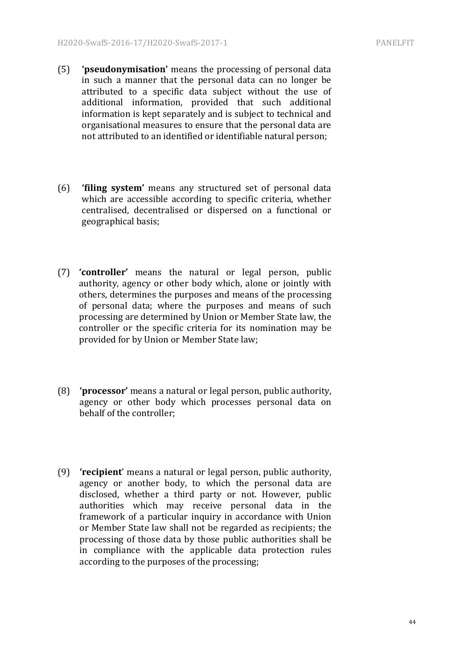- (5) **'pseudonymisation'** means the processing of personal data in such a manner that the personal data can no longer be attributed to a specific data subject without the use of additional information, provided that such additional information is kept separately and is subject to technical and organisational measures to ensure that the personal data are not attributed to an identified or identifiable natural person;
- (6) **'filing system'** means any structured set of personal data which are accessible according to specific criteria, whether centralised, decentralised or dispersed on a functional or geographical basis;
- (7) **'controller'** means the natural or legal person, public authority, agency or other body which, alone or jointly with others, determines the purposes and means of the processing of personal data; where the purposes and means of such processing are determined by Union or Member State law, the controller or the specific criteria for its nomination may be provided for by Union or Member State law;
- (8) **'processor'** means a natural or legal person, public authority, agency or other body which processes personal data on behalf of the controller;
- (9) **'recipient**' means a natural or legal person, public authority, agency or another body, to which the personal data are disclosed, whether a third party or not. However, public authorities which may receive personal data in the framework of a particular inquiry in accordance with Union or Member State law shall not be regarded as recipients; the processing of those data by those public authorities shall be in compliance with the applicable data protection rules according to the purposes of the processing;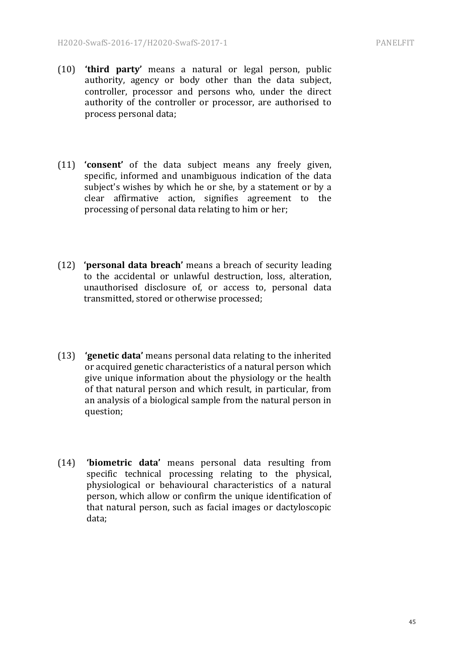- (10) **'third party'** means a natural or legal person, public authority, agency or body other than the data subject, controller, processor and persons who, under the direct authority of the controller or processor, are authorised to process personal data;
- (11) **'consent'** of the data subject means any freely given, specific, informed and unambiguous indication of the data subject's wishes by which he or she, by a statement or by a clear affirmative action, signifies agreement to the processing of personal data relating to him or her;
- (12) **'personal data breach'** means a breach of security leading to the accidental or unlawful destruction, loss, alteration, unauthorised disclosure of, or access to, personal data transmitted, stored or otherwise processed;
- (13) **'genetic data'** means personal data relating to the inherited or acquired genetic characteristics of a natural person which give unique information about the physiology or the health of that natural person and which result, in particular, from an analysis of a biological sample from the natural person in question;
- (14) **'biometric data'** means personal data resulting from specific technical processing relating to the physical, physiological or behavioural characteristics of a natural person, which allow or confirm the unique identification of that natural person, such as facial images or dactyloscopic data;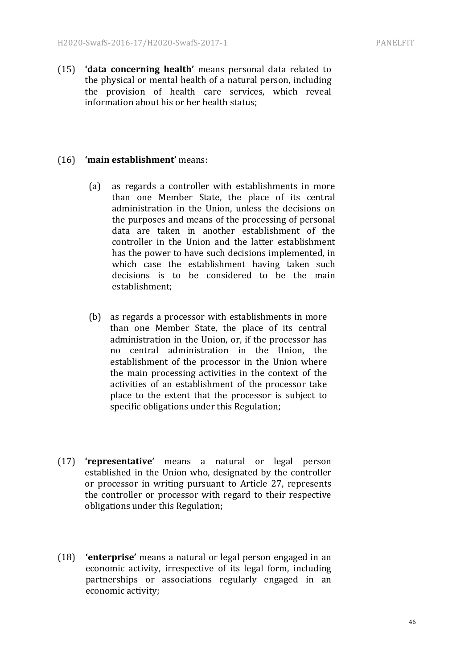(15) **'data concerning health'** means personal data related to the physical or mental health of a natural person, including the provision of health care services, which reveal information about his or her health status;

#### (16) **'main establishment'** means:

- (a) as regards a controller with establishments in more than one Member State, the place of its central administration in the Union, unless the decisions on the purposes and means of the processing of personal data are taken in another establishment of the controller in the Union and the latter establishment has the power to have such decisions implemented, in which case the establishment having taken such decisions is to be considered to be the main establishment;
- (b) as regards a processor with establishments in more than one Member State, the place of its central administration in the Union, or, if the processor has no central administration in the Union, the establishment of the processor in the Union where the main processing activities in the context of the activities of an establishment of the processor take place to the extent that the processor is subject to specific obligations under this Regulation;
- (17) **'representative'** means a natural or legal person established in the Union who, designated by the controller or processor in writing pursuant to Article 27, represents the controller or processor with regard to their respective obligations under this Regulation;
- (18) **'enterprise'** means a natural or legal person engaged in an economic activity, irrespective of its legal form, including partnerships or associations regularly engaged in an economic activity;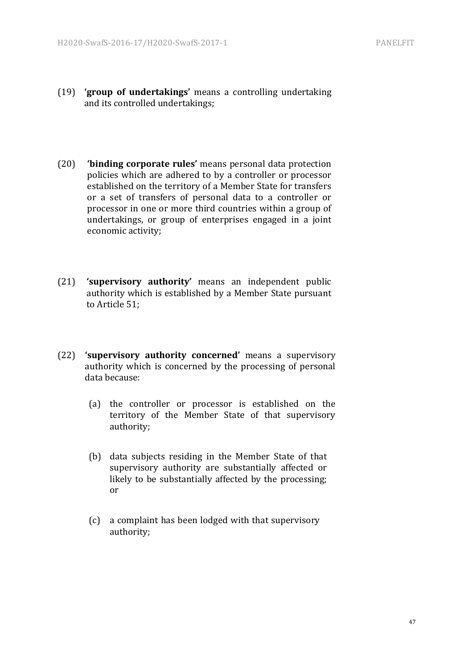- (19) **'group of undertakings'** means a controlling undertaking and its controlled undertakings;
- (20) **'binding corporate rules'** means personal data protection policies which are adhered to by a controller or processor established on the territory of a Member State for transfers or a set of transfers of personal data to a controller or processor in one or more third countries within a group of undertakings, or group of enterprises engaged in a joint economic activity;
- (21) **'supervisory authority'** means an independent public authority which is established by a Member State pursuant to Article 51:
- (22) **'supervisory authority concerned'** means a supervisory authority which is concerned by the processing of personal data because:
	- (a) the controller or processor is established on the territory of the Member State of that supervisory authority;
	- (b) data subjects residing in the Member State of that supervisory authority are substantially affected or likely to be substantially affected by the processing; or
	- (c) a complaint has been lodged with that supervisory authority;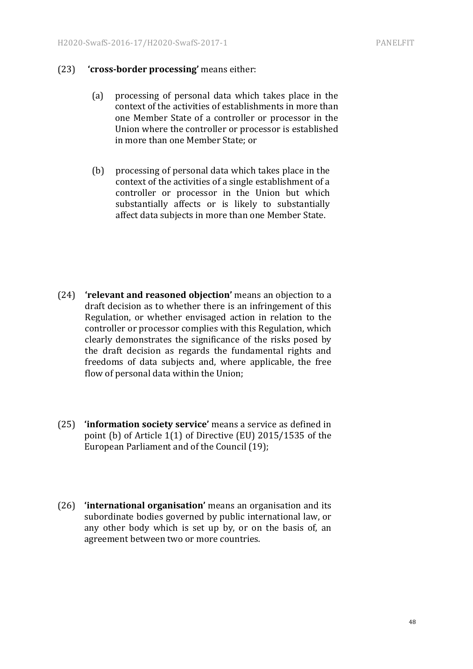#### (23) **'cross-border processing'** means either:

- (a) processing of personal data which takes place in the context of the activities of establishments in more than one Member State of a controller or processor in the Union where the controller or processor is established in more than one Member State; or
- (b) processing of personal data which takes place in the context of the activities of a single establishment of a controller or processor in the Union but which substantially affects or is likely to substantially affect data subjects in more than one Member State.

- (24) **'relevant and reasoned objection'** means an objection to a draft decision as to whether there is an infringement of this Regulation, or whether envisaged action in relation to the controller or processor complies with this Regulation, which clearly demonstrates the significance of the risks posed by the draft decision as regards the fundamental rights and freedoms of data subjects and, where applicable, the free flow of personal data within the Union;
- (25) **'information society service'** means a service as defined in point (b) of Article  $1(1)$  of Directive (EU) 2015/1535 of the European Parliament and of the Council (19);
- (26) **'international organisation'** means an organisation and its subordinate bodies governed by public international law, or any other body which is set up by, or on the basis of, an agreement between two or more countries.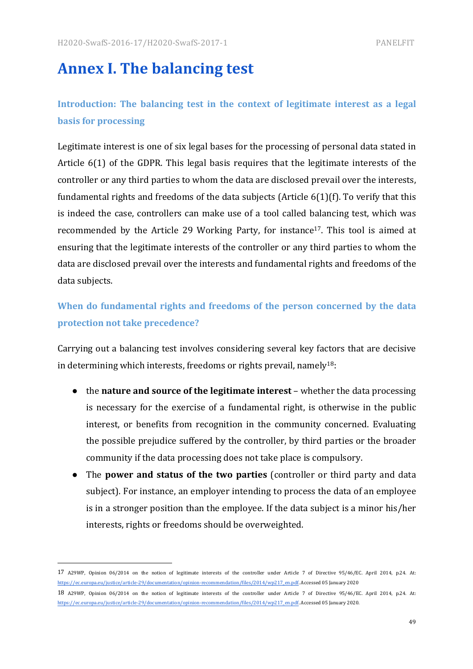# **Annex I. The balancing test**

# **Introduction:** The balancing test in the context of legitimate interest as a legal **basis** for processing

Legitimate interest is one of six legal bases for the processing of personal data stated in Article  $6(1)$  of the GDPR. This legal basis requires that the legitimate interests of the controller or any third parties to whom the data are disclosed prevail over the interests, fundamental rights and freedoms of the data subjects (Article  $6(1)(f)$ . To verify that this is indeed the case, controllers can make use of a tool called balancing test, which was recommended by the Article 29 Working Party, for instance<sup>17</sup>. This tool is aimed at ensuring that the legitimate interests of the controller or any third parties to whom the data are disclosed prevail over the interests and fundamental rights and freedoms of the data subjects.

# When do fundamental rights and freedoms of the person concerned by the data **protection not take precedence?**

Carrying out a balancing test involves considering several key factors that are decisive in determining which interests, freedoms or rights prevail, namely<sup>18</sup>:

- the **nature and source of the legitimate interest** whether the data processing is necessary for the exercise of a fundamental right, is otherwise in the public interest, or benefits from recognition in the community concerned. Evaluating the possible prejudice suffered by the controller, by third parties or the broader community if the data processing does not take place is compulsory.
- The **power and status of the two parties** (controller or third party and data subject). For instance, an employer intending to process the data of an employee is in a stronger position than the employee. If the data subject is a minor his/her interests, rights or freedoms should be overweighted.

 

<sup>17</sup> A29WP, Opinion 06/2014 on the notion of legitimate interests of the controller under Article 7 of Directive 95/46/EC. April 2014, p.24. At: https://ec.europa.eu/justice/article-29/documentation/opinion-recommendation/files/2014/wp217\_en.pdf. Accessed 05 January 2020

<sup>18</sup> A29WP, Opinion 06/2014 on the notion of legitimate interests of the controller under Article 7 of Directive 95/46/EC. April 2014, p.24. At: https://ec.europa.eu/justice/article-29/documentation/opinion-recommendation/files/2014/wp217\_en.pdf. Accessed 05 January 2020.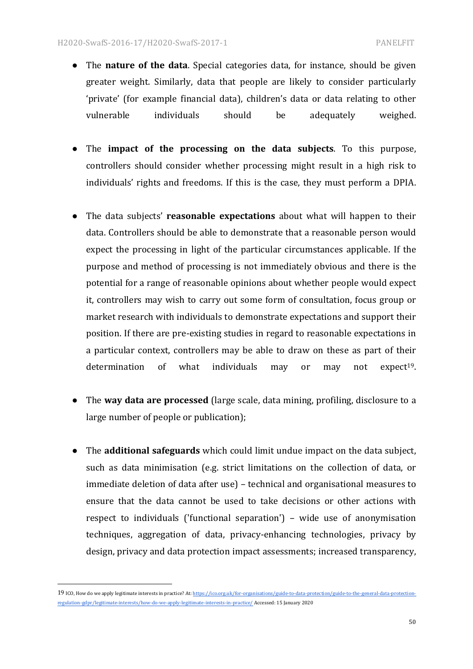- The **nature of the data**. Special categories data, for instance, should be given greater weight. Similarly, data that people are likely to consider particularly 'private' (for example financial data), children's data or data relating to other vulnerable individuals should be adequately weighed.
- The **impact** of the processing on the data subjects. To this purpose, controllers should consider whether processing might result in a high risk to individuals' rights and freedoms. If this is the case, they must perform a DPIA.
- The data subjects' **reasonable expectations** about what will happen to their data. Controllers should be able to demonstrate that a reasonable person would expect the processing in light of the particular circumstances applicable. If the purpose and method of processing is not immediately obvious and there is the potential for a range of reasonable opinions about whether people would expect it, controllers may wish to carry out some form of consultation, focus group or market research with individuals to demonstrate expectations and support their position. If there are pre-existing studies in regard to reasonable expectations in a particular context, controllers may be able to draw on these as part of their determination of what individuals may or may not expect<sup>19</sup>.
- The **way data are processed** (large scale, data mining, profiling, disclosure to a large number of people or publication);
- The **additional safeguards** which could limit undue impact on the data subject, such as data minimisation (e.g. strict limitations on the collection of data, or immediate deletion of data after use) – technical and organisational measures to ensure that the data cannot be used to take decisions or other actions with respect to individuals ('functional separation') – wide use of anonymisation techniques, aggregation of data, privacy-enhancing technologies, privacy by design, privacy and data protection impact assessments; increased transparency,

 

<sup>19</sup> ICO, How do we apply legitimate interests in practice? At: https://ico.org.uk/for-organisations/guide-to-data-protection/guide-to-the-general-data-protectionregulation-gdpr/legitimate-interests/how-do-we-apply-legitimate-interests-in-practice/ Accessed: 15 January 2020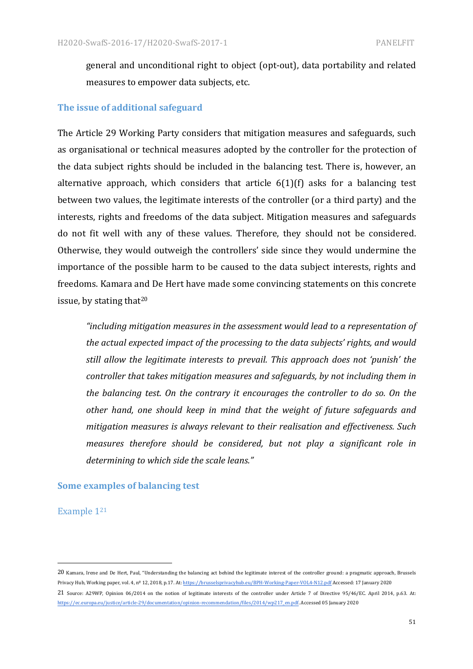general and unconditional right to object (opt-out), data portability and related measures to empower data subjects, etc.

#### **The issue of additional safeguard**

The Article 29 Working Party considers that mitigation measures and safeguards, such as organisational or technical measures adopted by the controller for the protection of the data subject rights should be included in the balancing test. There is, however, an alternative approach, which considers that article  $6(1)(f)$  asks for a balancing test between two values, the legitimate interests of the controller (or a third party) and the interests, rights and freedoms of the data subject. Mitigation measures and safeguards do not fit well with any of these values. Therefore, they should not be considered. Otherwise, they would outweigh the controllers' side since they would undermine the importance of the possible harm to be caused to the data subject interests, rights and freedoms. Kamara and De Hert have made some convincing statements on this concrete issue, by stating that $20$ 

*"including mitigation measures in the assessment would lead to a representation of*  the actual expected impact of the processing to the data subjects' rights, and would *still allow the legitimate interests to prevail. This approach does not 'punish' the controller that takes mitigation measures and safeguards, by not including them in the balancing test. On the contrary it encourages the controller to do so. On the* other hand, one should keep in mind that the weight of future safeguards and mitigation measures is always relevant to their realisation and effectiveness. Such *measures therefore should be considered, but not play a significant role in* determining to which side the scale leans."

#### **Some examples of balancing test**

 

Example 1<sup>21</sup>

<sup>20</sup> Kamara, Irene and De Hert, Paul, "Understanding the balancing act behind the legitimate interest of the controller ground: a pragmatic approach, Brussels Privacy Hub, Working paper, vol. 4, nº 12, 2018, p.17. At: https://brusselsprivacyhub.eu/BPH-Working-Paper-VOL4-N12.pdf Accessed: 17 January 2020 21 Source: A29WP, Opinion 06/2014 on the notion of legitimate interests of the controller under Article 7 of Directive 95/46/EC. April 2014, p.63. At:

https://ec.europa.eu/justice/article-29/documentation/opinion-recommendation/files/2014/wp217\_en.pdf. Accessed 05 January 2020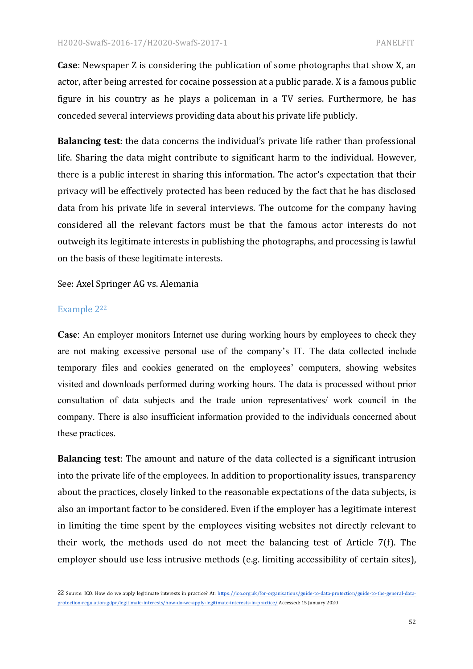**Case**: Newspaper Z is considering the publication of some photographs that show X, an actor, after being arrested for cocaine possession at a public parade. X is a famous public figure in his country as he plays a policeman in a TV series. Furthermore, he has conceded several interviews providing data about his private life publicly.

**Balancing test**: the data concerns the individual's private life rather than professional life. Sharing the data might contribute to significant harm to the individual. However, there is a public interest in sharing this information. The actor's expectation that their privacy will be effectively protected has been reduced by the fact that he has disclosed data from his private life in several interviews. The outcome for the company having considered all the relevant factors must be that the famous actor interests do not outweigh its legitimate interests in publishing the photographs, and processing is lawful on the basis of these legitimate interests.

See: Axel Springer AG vs. Alemania

 

#### Example 2<sup>22</sup>

**Case**: An employer monitors Internet use during working hours by employees to check they are not making excessive personal use of the company's IT. The data collected include temporary files and cookies generated on the employees' computers, showing websites visited and downloads performed during working hours. The data is processed without prior consultation of data subjects and the trade union representatives/ work council in the company. There is also insufficient information provided to the individuals concerned about these practices.

**Balancing test**: The amount and nature of the data collected is a significant intrusion into the private life of the employees. In addition to proportionality issues, transparency about the practices, closely linked to the reasonable expectations of the data subjects, is also an important factor to be considered. Even if the employer has a legitimate interest in limiting the time spent by the employees visiting websites not directly relevant to their work, the methods used do not meet the balancing test of Article  $7(f)$ . The employer should use less intrusive methods (e.g. limiting accessibility of certain sites),

<sup>22</sup> Source: ICO. How do we apply legitimate interests in practice? At: https://ico.org.uk/for-organisations/guide-to-data-protection/guide-to-the-general-dataprotection-regulation-gdpr/legitimate-interests/how-do-we-apply-legitimate-interests-in-practice/ Accessed: 15 January 2020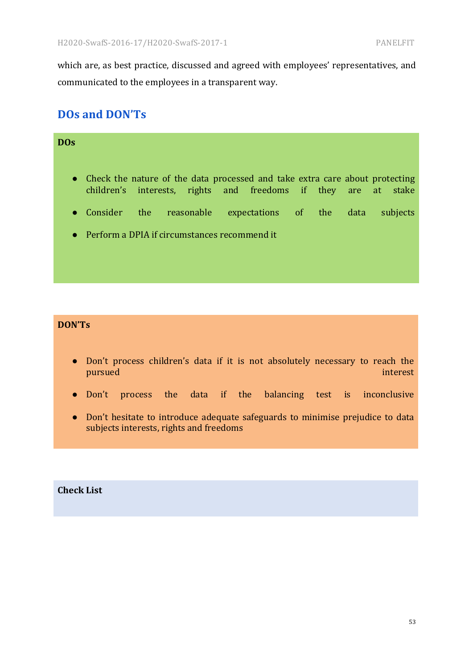which are, as best practice, discussed and agreed with employees' representatives, and communicated to the employees in a transparent way.

### **DOs and DON'Ts**

| DO <sub>S</sub> |                    |                                                                                                                                                 |  |  |      |          |
|-----------------|--------------------|-------------------------------------------------------------------------------------------------------------------------------------------------|--|--|------|----------|
|                 |                    |                                                                                                                                                 |  |  |      |          |
|                 |                    | • Check the nature of the data processed and take extra care about protecting<br>children's interests, rights and freedoms if they are at stake |  |  |      |          |
|                 | $\bullet$ Consider | the reasonable expectations of the                                                                                                              |  |  | data | subjects |
|                 |                    | $\bullet$ Perform a DPIA if circumstances recommend it                                                                                          |  |  |      |          |
|                 |                    |                                                                                                                                                 |  |  |      |          |

#### **DON'Ts**

- Don't process children's data if it is not absolutely necessary to reach the pursued and the contract of the contract of the contract of the contract of the contract of the contract of the
- Don't process the data if the balancing test is inconclusive
- Don't hesitate to introduce adequate safeguards to minimise prejudice to data subjects interests, rights and freedoms

#### **Check List**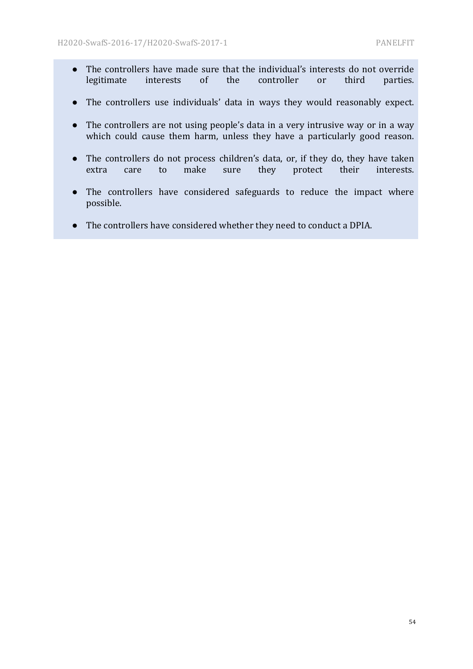- The controllers have made sure that the individual's interests do not override legitimate interests of the controller or third parties.
- The controllers use individuals' data in ways they would reasonably expect.
- The controllers are not using people's data in a very intrusive way or in a way which could cause them harm, unless they have a particularly good reason.
- The controllers do not process children's data, or, if they do, they have taken extra care to make sure they protect their interests.
- The controllers have considered safeguards to reduce the impact where possible.
- The controllers have considered whether they need to conduct a DPIA.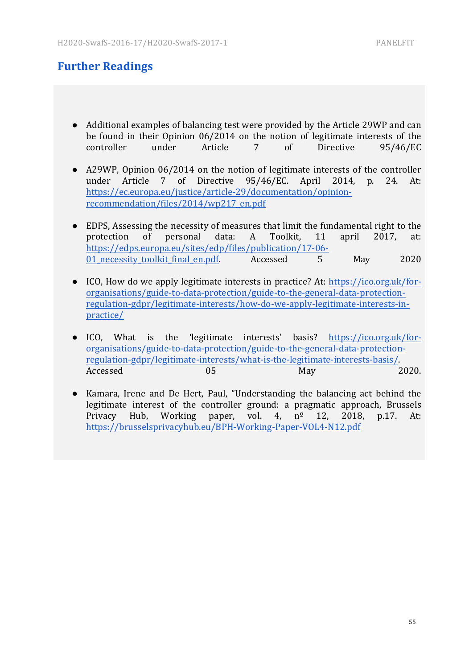### **Further Readings**

- Additional examples of balancing test were provided by the Article 29WP and can be found in their Opinion  $06/2014$  on the notion of legitimate interests of the controller under Article 7 of Directive 95/46/EC
- A29WP, Opinion 06/2014 on the notion of legitimate interests of the controller under Article 7 of Directive 95/46/EC. April 2014, p. 24. At: https://ec.europa.eu/justice/article-29/documentation/opinionrecommendation/files/2014/wp217\_en.pdf
- EDPS, Assessing the necessity of measures that limit the fundamental right to the protection of personal data: A Toolkit, 11 april 2017, at: https://edps.europa.eu/sites/edp/files/publication/17-06- 01\_necessity\_toolkit\_final\_en.pdf. Accessed 5 May 2020
- ICO, How do we apply legitimate interests in practice? At: https://ico.org.uk/fororganisations/guide-to-data-protection/guide-to-the-general-data-protectionregulation-gdpr/legitimate-interests/how-do-we-apply-legitimate-interests-inpractice/
- ICO, What is the 'legitimate interests' basis? https://ico.org.uk/fororganisations/guide-to-data-protection/guide-to-the-general-data-protectionregulation-gdpr/legitimate-interests/what-is-the-legitimate-interests-basis/. Accessed 05 May 2020.
- Kamara, Irene and De Hert, Paul, "Understanding the balancing act behind the legitimate interest of the controller ground: a pragmatic approach, Brussels Privacy Hub, Working paper, vol.  $4$ ,  $n^2$  12, 2018, p.17. At: https://brusselsprivacyhub.eu/BPH-Working-Paper-VOL4-N12.pdf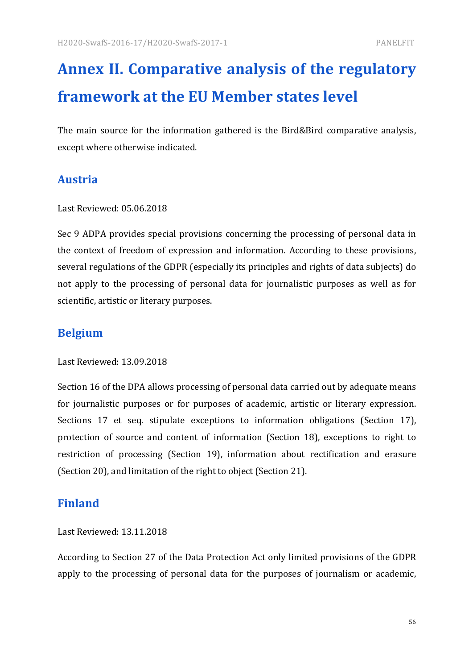# **Annex II. Comparative analysis of the regulatory framework at the EU Member states level**

The main source for the information gathered is the Bird&Bird comparative analysis, except where otherwise indicated.

## **Austria**

#### Last Reviewed: 05.06.2018

Sec 9 ADPA provides special provisions concerning the processing of personal data in the context of freedom of expression and information. According to these provisions, several regulations of the GDPR (especially its principles and rights of data subjects) do not apply to the processing of personal data for journalistic purposes as well as for scientific, artistic or literary purposes.

### **Belgium**

Last Reviewed: 13.09.2018

Section 16 of the DPA allows processing of personal data carried out by adequate means for journalistic purposes or for purposes of academic, artistic or literary expression. Sections 17 et seq. stipulate exceptions to information obligations (Section 17), protection of source and content of information (Section 18), exceptions to right to restriction of processing (Section 19), information about rectification and erasure (Section 20), and limitation of the right to object (Section 21).

### **Finland**

Last Reviewed: 13.11.2018

According to Section 27 of the Data Protection Act only limited provisions of the GDPR apply to the processing of personal data for the purposes of journalism or academic,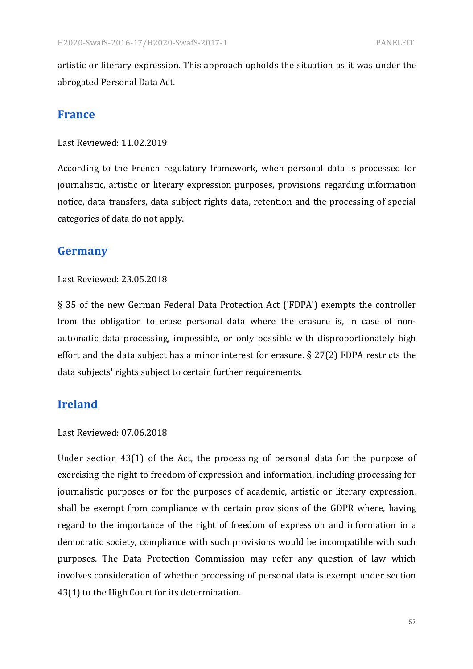artistic or literary expression. This approach upholds the situation as it was under the abrogated Personal Data Act.

#### **France**

Last Reviewed: 11.02.2019

According to the French regulatory framework, when personal data is processed for journalistic, artistic or literary expression purposes, provisions regarding information notice, data transfers, data subject rights data, retention and the processing of special categories of data do not apply.

### **Germany**

#### Last Reviewed: 23.05.2018

§ 35 of the new German Federal Data Protection Act ('FDPA') exempts the controller from the obligation to erase personal data where the erasure is, in case of nonautomatic data processing, impossible, or only possible with disproportionately high effort and the data subject has a minor interest for erasure.  $\S 27(2)$  FDPA restricts the data subjects' rights subject to certain further requirements.

#### **Ireland**

#### Last Reviewed: 07.06.2018

Under section  $43(1)$  of the Act, the processing of personal data for the purpose of exercising the right to freedom of expression and information, including processing for journalistic purposes or for the purposes of academic, artistic or literary expression, shall be exempt from compliance with certain provisions of the GDPR where, having regard to the importance of the right of freedom of expression and information in a democratic society, compliance with such provisions would be incompatible with such purposes. The Data Protection Commission may refer any question of law which involves consideration of whether processing of personal data is exempt under section 43(1) to the High Court for its determination.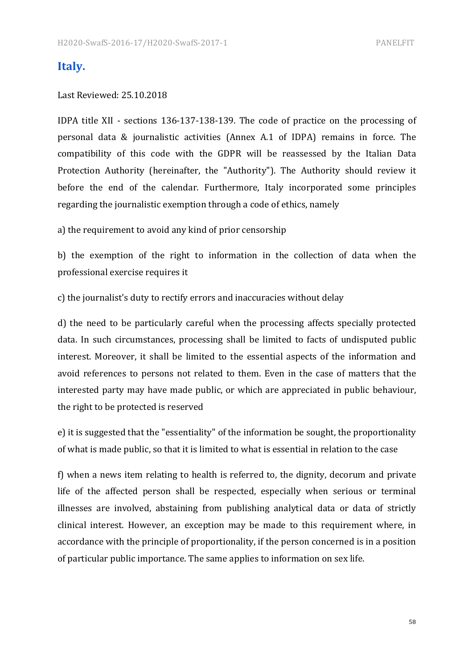#### **Italy.**

#### Last Reviewed: 25.10.2018

IDPA title XII - sections 136-137-138-139. The code of practice on the processing of personal data & journalistic activities (Annex A.1 of IDPA) remains in force. The compatibility of this code with the GDPR will be reassessed by the Italian Data Protection Authority (hereinafter, the "Authority"). The Authority should review it before the end of the calendar. Furthermore, Italy incorporated some principles regarding the journalistic exemption through a code of ethics, namely

a) the requirement to avoid any kind of prior censorship

b) the exemption of the right to information in the collection of data when the professional exercise requires it

c) the journalist's duty to rectify errors and inaccuracies without delay

d) the need to be particularly careful when the processing affects specially protected data. In such circumstances, processing shall be limited to facts of undisputed public interest. Moreover, it shall be limited to the essential aspects of the information and avoid references to persons not related to them. Even in the case of matters that the interested party may have made public, or which are appreciated in public behaviour, the right to be protected is reserved

e) it is suggested that the "essentiality" of the information be sought, the proportionality of what is made public, so that it is limited to what is essential in relation to the case

f) when a news item relating to health is referred to, the dignity, decorum and private life of the affected person shall be respected, especially when serious or terminal illnesses are involved, abstaining from publishing analytical data or data of strictly clinical interest. However, an exception may be made to this requirement where, in accordance with the principle of proportionality, if the person concerned is in a position of particular public importance. The same applies to information on sex life.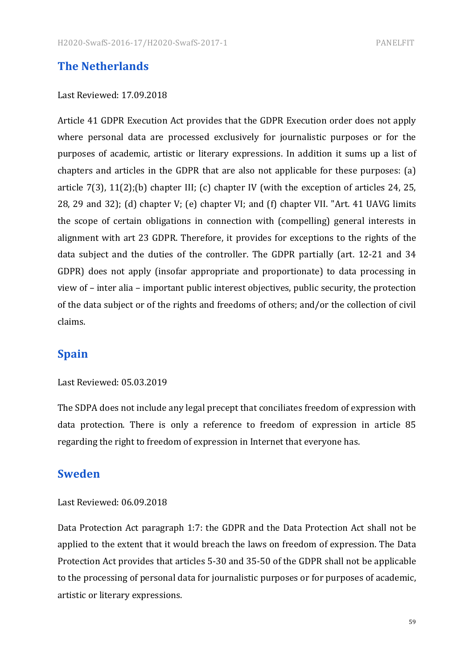#### **The Netherlands**

#### Last Reviewed: 17.09.2018

Article 41 GDPR Execution Act provides that the GDPR Execution order does not apply where personal data are processed exclusively for journalistic purposes or for the purposes of academic, artistic or literary expressions. In addition it sums up a list of chapters and articles in the GDPR that are also not applicable for these purposes:  $(a)$ article  $7(3)$ ,  $11(2)$ ;(b) chapter III; (c) chapter IV (with the exception of articles 24, 25, 28, 29 and 32); (d) chapter V; (e) chapter VI; and (f) chapter VII. "Art. 41 UAVG limits the scope of certain obligations in connection with (compelling) general interests in alignment with art 23 GDPR. Therefore, it provides for exceptions to the rights of the data subject and the duties of the controller. The GDPR partially (art. 12-21 and 34 GDPR) does not apply (insofar appropriate and proportionate) to data processing in view of – inter alia – important public interest objectives, public security, the protection of the data subject or of the rights and freedoms of others; and/or the collection of civil claims.

#### **Spain**

#### Last Reviewed: 05.03.2019

The SDPA does not include any legal precept that conciliates freedom of expression with data protection. There is only a reference to freedom of expression in article 85 regarding the right to freedom of expression in Internet that everyone has.

#### **Sweden**

#### Last Reviewed: 06.09.2018

Data Protection Act paragraph 1:7: the GDPR and the Data Protection Act shall not be applied to the extent that it would breach the laws on freedom of expression. The Data Protection Act provides that articles 5-30 and 35-50 of the GDPR shall not be applicable to the processing of personal data for journalistic purposes or for purposes of academic, artistic or literary expressions.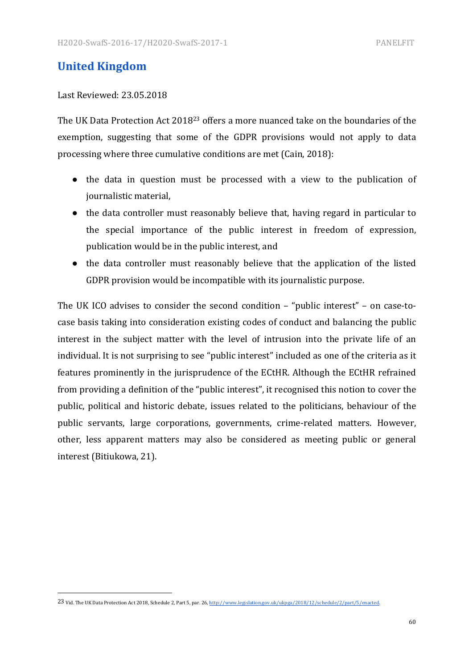### **United Kingdom**

#### Last Reviewed: 23.05.2018

 

The UK Data Protection Act  $2018^{23}$  offers a more nuanced take on the boundaries of the exemption, suggesting that some of the GDPR provisions would not apply to data processing where three cumulative conditions are met (Cain, 2018):

- the data in question must be processed with a view to the publication of journalistic material,
- the data controller must reasonably believe that, having regard in particular to the special importance of the public interest in freedom of expression, publication would be in the public interest, and
- the data controller must reasonably believe that the application of the listed GDPR provision would be incompatible with its journalistic purpose.

The UK ICO advises to consider the second condition  $-$  "public interest"  $-$  on case-tocase basis taking into consideration existing codes of conduct and balancing the public interest in the subject matter with the level of intrusion into the private life of an individual. It is not surprising to see "public interest" included as one of the criteria as it features prominently in the jurisprudence of the ECtHR. Although the ECtHR refrained from providing a definition of the "public interest", it recognised this notion to cover the public, political and historic debate, issues related to the politicians, behaviour of the public servants, large corporations, governments, crime-related matters. However, other, less apparent matters may also be considered as meeting public or general interest (Bitiukowa, 21).

<sup>23</sup> Vid. The UK Data Protection Act 2018, Schedule 2, Part 5, par. 26, http://www.legislation.gov.uk/ukpga/2018/12/schedule/2/part/5/enacted.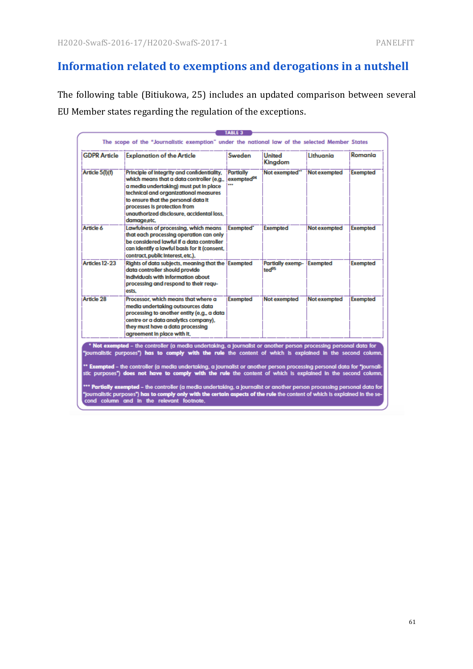# **Information related to exemptions and derogations in a nutshell**

The following table (Bitiukowa, 25) includes an updated comparison between several EU Member states regarding the regulation of the exceptions.

| <b>GDPR Article</b> | <b>Explanation of the Article</b>                                                                                                                                                                                                                                                                              | Sweden                                     | United<br>Kingdom                     | Lithuania           | Romania         |
|---------------------|----------------------------------------------------------------------------------------------------------------------------------------------------------------------------------------------------------------------------------------------------------------------------------------------------------------|--------------------------------------------|---------------------------------------|---------------------|-----------------|
| Article 5(I)(f)     | Principle of Integrity and confidentiality.<br>which means that a data controller (e.g.,<br>a media undertaking) must put in place<br>technical and organizational measures<br>to ensure that the personal data it<br>processes is protection from<br>unauthorized disclosure, accidental loss.<br>damage.etc. | <b>Partially</b><br>exempted <sup>94</sup> | Not exempted"                         | Not exempted        | <b>Exempted</b> |
| Article 6           | Lawfulness of processing, which means<br>that each processing operation can only<br>be considered lawful if a data controller<br>can Identify a lawful basis for it (consent,<br>contract, public interest, etc.).                                                                                             | <b>Exempted</b> *                          | Exempted                              | <b>Not exempted</b> | <b>Exempted</b> |
| Articles 12-23      | Rights of data subjects, meaning that the Exempted<br>data controller should provide<br>Individuals with Information about<br>processing and respond to their requ-<br>ests.                                                                                                                                   |                                            | Partially exemp-<br>ted <sup>05</sup> | Exempted            | <b>Exempted</b> |
| Article 28          | Processor, which means that where a<br>media undertaking outsources data<br>processing to another entity (e.g., a data<br>centre or a data analytics company).<br>they must have a data processing<br>agreement in place with it.                                                                              | <b>Exempted</b>                            | Not exempted                          | Not exempted        | <b>Exempted</b> |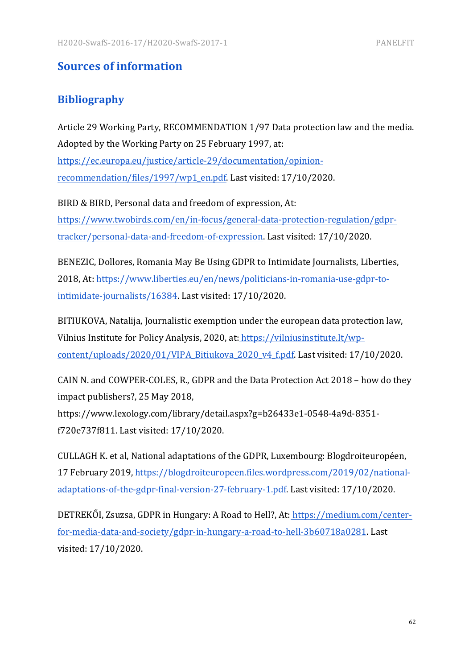### **Sources of information**

### **Bibliography**

Article 29 Working Party, RECOMMENDATION 1/97 Data protection law and the media. Adopted by the Working Party on 25 February 1997, at: https://ec.europa.eu/justice/article-29/documentation/opinionrecommendation/files/1997/wp1\_en.pdf. Last visited: 17/10/2020.

BIRD & BIRD, Personal data and freedom of expression, At: https://www.twobirds.com/en/in-focus/general-data-protection-regulation/gdprtracker/personal-data-and-freedom-of-expression. Last visited: 17/10/2020.

BENEZIC, Dollores, Romania May Be Using GDPR to Intimidate Journalists, Liberties, 2018, At: https://www.liberties.eu/en/news/politicians-in-romania-use-gdpr-tointimidate-journalists/16384. Last visited: 17/10/2020.

BITIUKOVA, Natalija, Journalistic exemption under the european data protection law, Vilnius Institute for Policy Analysis, 2020, at: https://vilniusinstitute.lt/wpcontent/uploads/2020/01/VIPA Bitiukova 2020 v4 f.pdf. Last visited: 17/10/2020.

CAIN N. and COWPER-COLES, R., GDPR and the Data Protection Act 2018 – how do they impact publishers?, 25 May 2018, https://www.lexology.com/library/detail.aspx?g=b26433e1-0548-4a9d-8351 f720e737f811. Last visited: 17/10/2020.

CULLAGH K. et al, National adaptations of the GDPR, Luxembourg: Blogdroiteuropéen, 17 February 2019, https://blogdroiteuropeen.files.wordpress.com/2019/02/nationaladaptations-of-the-gdpr-final-version-27-february-1.pdf. Last visited: 17/10/2020.

DETREKŐI, Zsuzsa, GDPR in Hungary: A Road to Hell?, At: https://medium.com/centerfor-media-data-and-society/gdpr-in-hungary-a-road-to-hell-3b60718a0281. Last visited: 17/10/2020.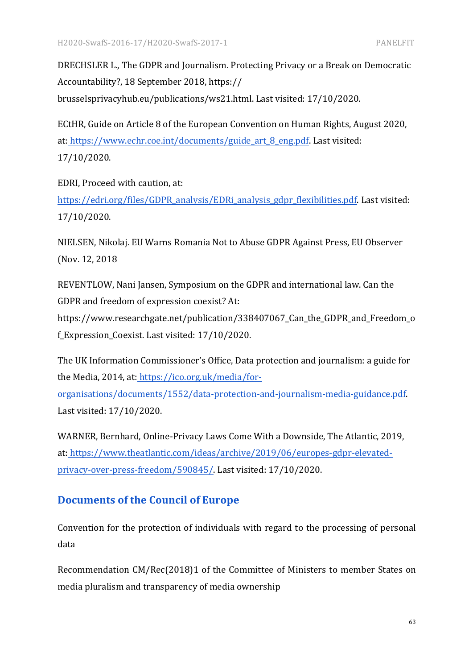DRECHSLER L., The GDPR and Journalism. Protecting Privacy or a Break on Democratic Accountability?, 18 September 2018, https:// brusselsprivacyhub.eu/publications/ws21.html. Last visited: 17/10/2020.

ECtHR, Guide on Article 8 of the European Convention on Human Rights, August 2020, at: https://www.echr.coe.int/documents/guide\_art\_8\_eng.pdf. Last visited: 17/10/2020.

EDRI, Proceed with caution, at:

https://edri.org/files/GDPR\_analysis/EDRi\_analysis\_gdpr\_flexibilities.pdf. Last visited: 17/10/2020.

NIELSEN, Nikolaj. EU Warns Romania Not to Abuse GDPR Against Press, EU Observer (Nov. 12, 2018)

REVENTLOW, Nani Jansen, Symposium on the GDPR and international law. Can the GDPR and freedom of expression coexist? At:

https://www.researchgate.net/publication/338407067\_Can\_the\_GDPR\_and\_Freedom\_o f\_Expression\_Coexist. Last visited: 17/10/2020.

The UK Information Commissioner's Office, Data protection and journalism: a guide for the Media, 2014, at: https://ico.org.uk/media/for-

organisations/documents/1552/data-protection-and-journalism-media-guidance.pdf. Last visited: 17/10/2020.

WARNER, Bernhard, Online-Privacy Laws Come With a Downside, The Atlantic, 2019, at: https://www.theatlantic.com/ideas/archive/2019/06/europes-gdpr-elevatedprivacy-over-press-freedom/590845/. Last visited: 17/10/2020.

### **Documents of the Council of Europe**

Convention for the protection of individuals with regard to the processing of personal data

Recommendation CM/Rec(2018)1 of the Committee of Ministers to member States on media pluralism and transparency of media ownership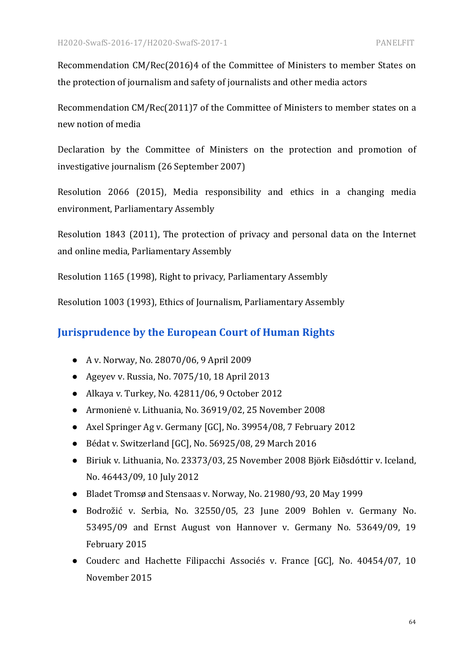Recommendation CM/Rec(2016)4 of the Committee of Ministers to member States on the protection of journalism and safety of journalists and other media actors

Recommendation CM/Rec(2011)7 of the Committee of Ministers to member states on a new notion of media

Declaration by the Committee of Ministers on the protection and promotion of investigative journalism (26 September 2007)

Resolution 2066 (2015), Media responsibility and ethics in a changing media environment, Parliamentary Assembly

Resolution 1843 (2011), The protection of privacy and personal data on the Internet and online media, Parliamentary Assembly

Resolution 1165 (1998), Right to privacy, Parliamentary Assembly

Resolution 1003 (1993), Ethics of Journalism, Parliamentary Assembly

#### **Jurisprudence by the European Court of Human Rights**

- A v. Norway, No. 28070/06, 9 April 2009
- Ageyev v. Russia, No.  $7075/10$ , 18 April 2013
- Alkaya v. Turkey, No. 42811/06, 9 October 2012
- Armonienė v. Lithuania, No. 36919/02, 25 November 2008
- Axel Springer Ag v. Germany [GC], No. 39954/08, 7 February 2012
- Bédat v. Switzerland [GC], No. 56925/08, 29 March 2016
- Biriuk v. Lithuania, No. 23373/03, 25 November 2008 Björk Eiðsdóttir v. Iceland, No. 46443/09, 10 July 2012
- Bladet Tromsø and Stensaas v. Norway, No. 21980/93, 20 May 1999
- Bodrožić v. Serbia, No. 32550/05, 23 June 2009 Bohlen v. Germany No. 53495/09 and Ernst August von Hannover v. Germany No. 53649/09, 19 February 2015
- Couderc and Hachette Filipacchi Associés v. France [GC], No. 40454/07, 10 November 2015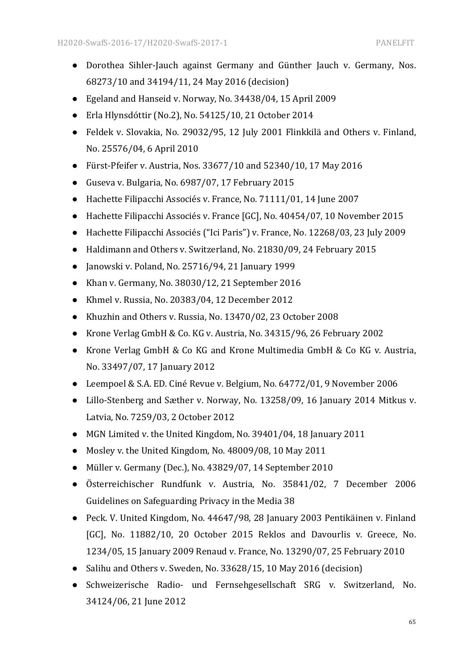- Dorothea Sihler-Jauch against Germany and Günther Jauch v. Germany, Nos. 68273/10 and 34194/11, 24 May 2016 (decision)
- Egeland and Hanseid v. Norway, No. 34438/04, 15 April 2009
- Erla Hlynsdóttir (No.2), No. 54125/10, 21 October 2014
- Feldek v. Slovakia, No. 29032/95, 12 July 2001 Flinkkilä and Others v. Finland, No. 25576/04, 6 April 2010
- Fürst-Pfeifer v. Austria, Nos.  $33677/10$  and  $52340/10$ , 17 May 2016
- Guseva v. Bulgaria, No. 6987/07, 17 February 2015
- Hachette Filipacchi Associés v. France, No. 71111/01, 14 June 2007
- Hachette Filipacchi Associés v. France [GC], No. 40454/07, 10 November 2015
- Hachette Filipacchi Associés ("Ici Paris") v. France, No. 12268/03, 23 July 2009
- Haldimann and Others v. Switzerland, No. 21830/09, 24 February 2015
- $\bullet$  Janowski v. Poland, No. 25716/94, 21 January 1999
- Khan v. Germany, No. 38030/12, 21 September 2016
- Khmel v. Russia, No. 20383/04, 12 December 2012
- Khuzhin and Others v. Russia, No. 13470/02, 23 October 2008
- Krone Verlag GmbH & Co. KG v. Austria, No. 34315/96, 26 February 2002
- Krone Verlag GmbH & Co KG and Krone Multimedia GmbH & Co KG v. Austria, No. 33497/07, 17 January 2012
- Leempoel & S.A. ED. Ciné Revue v. Belgium, No. 64772/01, 9 November 2006
- Lillo-Stenberg and Sæther v. Norway, No. 13258/09, 16 January 2014 Mitkus v. Latvia, No. 7259/03, 2 October 2012
- MGN Limited v. the United Kingdom, No. 39401/04, 18 January 2011
- Mosley v. the United Kingdom, No.  $48009/08$ , 10 May 2011
- Müller v. Germany (Dec.), No. 43829/07, 14 September 2010
- Österreichischer Rundfunk v. Austria, No. 35841/02, 7 December 2006 Guidelines on Safeguarding Privacy in the Media 38
- Peck. V. United Kingdom, No. 44647/98, 28 January 2003 Pentikäinen v. Finland [GC], No. 11882/10, 20 October 2015 Reklos and Davourlis v. Greece, No. 1234/05, 15 January 2009 Renaud v. France, No. 13290/07, 25 February 2010
- Salihu and Others v. Sweden, No. 33628/15, 10 May 2016 (decision)
- Schweizerische Radio- und Fernsehgesellschaft SRG v. Switzerland, No. 34124/06, 21 June 2012